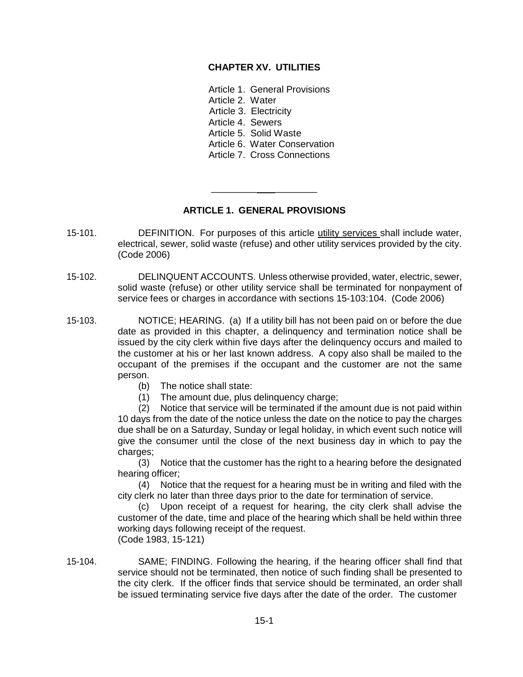# **CHAPTER XV. UTILITIES**

Article 1. General Provisions Article 2. Water Article 3. Electricity Article 4. Sewers Article 5. Solid Waste Article 6. Water Conservation Article 7. Cross Connections

# **ARTICLE 1. GENERAL PROVISIONS**

\_\_\_\_\_\_\_\_\_ \_\_\_\_\_\_\_\_

- 15-101. DEFINITION. For purposes of this article utility services shall include water, electrical, sewer, solid waste (refuse) and other utility services provided by the city. (Code 2006)
- 15-102. DELINQUENT ACCOUNTS. Unless otherwise provided, water, electric, sewer, solid waste (refuse) or other utility service shall be terminated for nonpayment of service fees or charges in accordance with sections 15-103:104. (Code 2006)
- 15-103. NOTICE; HEARING. (a) If a utility bill has not been paid on or before the due date as provided in this chapter, a delinquency and termination notice shall be issued by the city clerk within five days after the delinquency occurs and mailed to the customer at his or her last known address. A copy also shall be mailed to the occupant of the premises if the occupant and the customer are not the same person.
	- (b) The notice shall state:
	- (1) The amount due, plus delinquency charge;

(2) Notice that service will be terminated if the amount due is not paid within 10 days from the date of the notice unless the date on the notice to pay the charges due shall be on a Saturday, Sunday or legal holiday, in which event such notice will give the consumer until the close of the next business day in which to pay the charges;

(3) Notice that the customer has the right to a hearing before the designated hearing officer;

(4) Notice that the request for a hearing must be in writing and filed with the city clerk no later than three days prior to the date for termination of service.

(c) Upon receipt of a request for hearing, the city clerk shall advise the customer of the date, time and place of the hearing which shall be held within three working days following receipt of the request. (Code 1983, 15-121)

15-104. SAME; FINDING. Following the hearing, if the hearing officer shall find that service should not be terminated, then notice of such finding shall be presented to the city clerk. If the officer finds that service should be terminated, an order shall be issued terminating service five days after the date of the order. The customer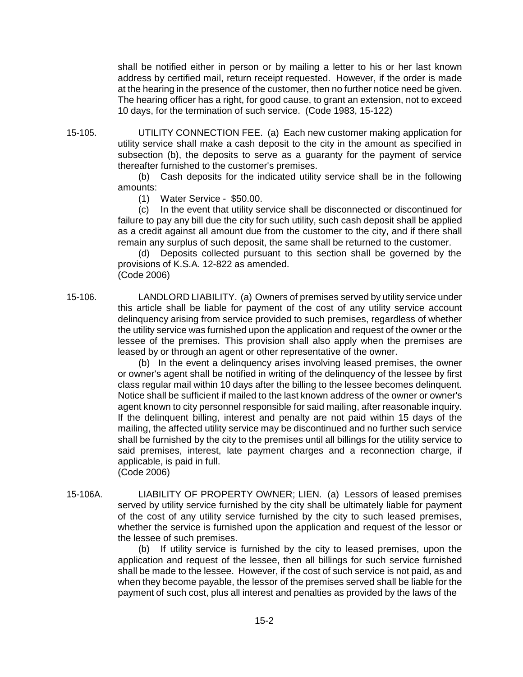shall be notified either in person or by mailing a letter to his or her last known address by certified mail, return receipt requested. However, if the order is made at the hearing in the presence of the customer, then no further notice need be given. The hearing officer has a right, for good cause, to grant an extension, not to exceed 10 days, for the termination of such service. (Code 1983, 15-122)

15-105. UTILITY CONNECTION FEE. (a) Each new customer making application for utility service shall make a cash deposit to the city in the amount as specified in subsection (b), the deposits to serve as a guaranty for the payment of service thereafter furnished to the customer's premises.

(b) Cash deposits for the indicated utility service shall be in the following amounts:

(1) Water Service - \$50.00.

(c) In the event that utility service shall be disconnected or discontinued for failure to pay any bill due the city for such utility, such cash deposit shall be applied as a credit against all amount due from the customer to the city, and if there shall remain any surplus of such deposit, the same shall be returned to the customer.

(d) Deposits collected pursuant to this section shall be governed by the provisions of K.S.A. 12-822 as amended. (Code 2006)

15-106. LANDLORD LIABILITY. (a) Owners of premises served by utility service under this article shall be liable for payment of the cost of any utility service account delinquency arising from service provided to such premises, regardless of whether the utility service was furnished upon the application and request of the owner or the lessee of the premises. This provision shall also apply when the premises are leased by or through an agent or other representative of the owner.

> (b) In the event a delinquency arises involving leased premises, the owner or owner's agent shall be notified in writing of the delinquency of the lessee by first class regular mail within 10 days after the billing to the lessee becomes delinquent. Notice shall be sufficient if mailed to the last known address of the owner or owner's agent known to city personnel responsible for said mailing, after reasonable inquiry. If the delinquent billing, interest and penalty are not paid within 15 days of the mailing, the affected utility service may be discontinued and no further such service shall be furnished by the city to the premises until all billings for the utility service to said premises, interest, late payment charges and a reconnection charge, if applicable, is paid in full. (Code 2006)

15-106A. LIABILITY OF PROPERTY OWNER; LIEN. (a) Lessors of leased premises served by utility service furnished by the city shall be ultimately liable for payment of the cost of any utility service furnished by the city to such leased premises, whether the service is furnished upon the application and request of the lessor or the lessee of such premises.

> (b) If utility service is furnished by the city to leased premises, upon the application and request of the lessee, then all billings for such service furnished shall be made to the lessee. However, if the cost of such service is not paid, as and when they become payable, the lessor of the premises served shall be liable for the payment of such cost, plus all interest and penalties as provided by the laws of the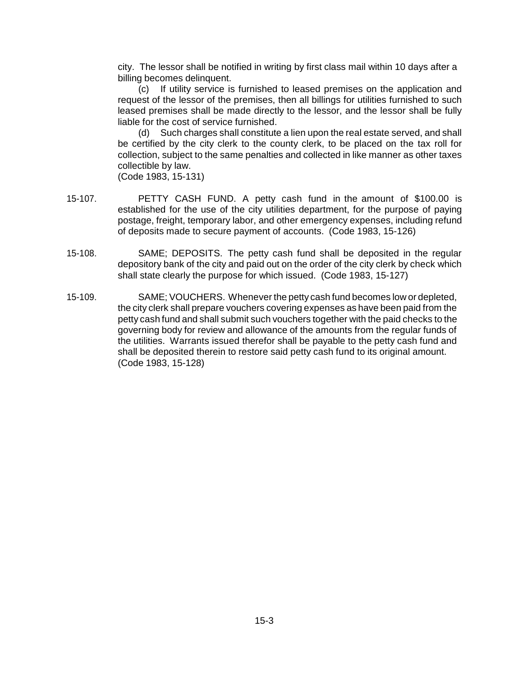city. The lessor shall be notified in writing by first class mail within 10 days after a billing becomes delinquent.

(c) If utility service is furnished to leased premises on the application and request of the lessor of the premises, then all billings for utilities furnished to such leased premises shall be made directly to the lessor, and the lessor shall be fully liable for the cost of service furnished.

(d) Such charges shall constitute a lien upon the real estate served, and shall be certified by the city clerk to the county clerk, to be placed on the tax roll for collection, subject to the same penalties and collected in like manner as other taxes collectible by law.

(Code 1983, 15-131)

- 15-107. PETTY CASH FUND. A petty cash fund in the amount of \$100.00 is established for the use of the city utilities department, for the purpose of paying postage, freight, temporary labor, and other emergency expenses, including refund of deposits made to secure payment of accounts. (Code 1983, 15-126)
- 15-108. SAME; DEPOSITS. The petty cash fund shall be deposited in the regular depository bank of the city and paid out on the order of the city clerk by check which shall state clearly the purpose for which issued. (Code 1983, 15-127)
- 15-109. SAME; VOUCHERS. Whenever the petty cash fund becomes low or depleted, the city clerk shall prepare vouchers covering expenses as have been paid from the petty cash fund and shall submit such vouchers together with the paid checks to the governing body for review and allowance of the amounts from the regular funds of the utilities. Warrants issued therefor shall be payable to the petty cash fund and shall be deposited therein to restore said petty cash fund to its original amount. (Code 1983, 15-128)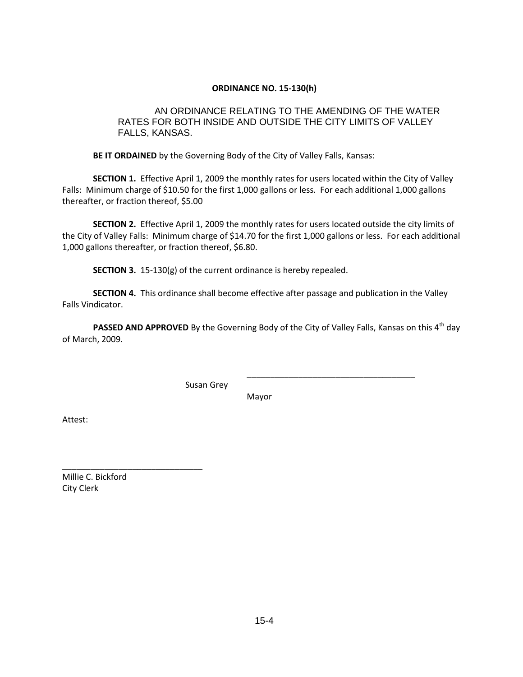# **ORDINANCE NO. 15-130(h)**

# AN ORDINANCE RELATING TO THE AMENDING OF THE WATER RATES FOR BOTH INSIDE AND OUTSIDE THE CITY LIMITS OF VALLEY FALLS, KANSAS.

**BE IT ORDAINED** by the Governing Body of the City of Valley Falls, Kansas:

**SECTION 1.** Effective April 1, 2009 the monthly rates for users located within the City of Valley Falls: Minimum charge of \$10.50 for the first 1,000 gallons or less. For each additional 1,000 gallons thereafter, or fraction thereof, \$5.00

**SECTION 2.** Effective April 1, 2009 the monthly rates for users located outside the city limits of the City of Valley Falls: Minimum charge of \$14.70 for the first 1,000 gallons or less. For each additional 1,000 gallons thereafter, or fraction thereof, \$6.80.

**SECTION 3.** 15-130(g) of the current ordinance is hereby repealed.

**SECTION 4.** This ordinance shall become effective after passage and publication in the Valley Falls Vindicator.

**PASSED AND APPROVED** By the Governing Body of the City of Valley Falls, Kansas on this 4<sup>th</sup> day of March, 2009.

Susan Grey

Mayor

\_\_\_\_\_\_\_\_\_\_\_\_\_\_\_\_\_\_\_\_\_\_\_\_\_\_\_\_\_\_\_\_\_\_\_\_

Attest:

\_\_\_\_\_\_\_\_\_\_\_\_\_\_\_\_\_\_\_\_\_\_\_\_\_\_\_\_\_\_ Millie C. Bickford City Clerk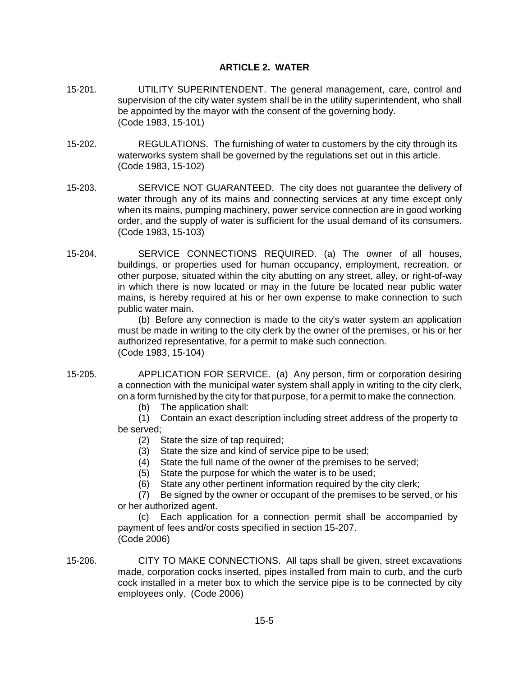# **ARTICLE 2. WATER**

- 15-201. UTILITY SUPERINTENDENT. The general management, care, control and supervision of the city water system shall be in the utility superintendent, who shall be appointed by the mayor with the consent of the governing body. (Code 1983, 15-101)
- 15-202. REGULATIONS. The furnishing of water to customers by the city through its waterworks system shall be governed by the regulations set out in this article. (Code 1983, 15-102)
- 15-203. SERVICE NOT GUARANTEED. The city does not guarantee the delivery of water through any of its mains and connecting services at any time except only when its mains, pumping machinery, power service connection are in good working order, and the supply of water is sufficient for the usual demand of its consumers. (Code 1983, 15-103)
- 15-204. SERVICE CONNECTIONS REQUIRED. (a) The owner of all houses, buildings, or properties used for human occupancy, employment, recreation, or other purpose, situated within the city abutting on any street, alley, or right-of-way in which there is now located or may in the future be located near public water mains, is hereby required at his or her own expense to make connection to such public water main.

(b) Before any connection is made to the city's water system an application must be made in writing to the city clerk by the owner of the premises, or his or her authorized representative, for a permit to make such connection. (Code 1983, 15-104)

15-205. APPLICATION FOR SERVICE. (a) Any person, firm or corporation desiring a connection with the municipal water system shall apply in writing to the city clerk, on a form furnished by the city for that purpose, for a permit to make the connection.

(b) The application shall:

(1) Contain an exact description including street address of the property to be served;

- (2) State the size of tap required;
- (3) State the size and kind of service pipe to be used;
- (4) State the full name of the owner of the premises to be served;
- (5) State the purpose for which the water is to be used;
- (6) State any other pertinent information required by the city clerk;

(7) Be signed by the owner or occupant of the premises to be served, or his or her authorized agent.

(c) Each application for a connection permit shall be accompanied by payment of fees and/or costs specified in section 15-207. (Code 2006)

15-206. CITY TO MAKE CONNECTIONS. All taps shall be given, street excavations made, corporation cocks inserted, pipes installed from main to curb, and the curb cock installed in a meter box to which the service pipe is to be connected by city employees only. (Code 2006)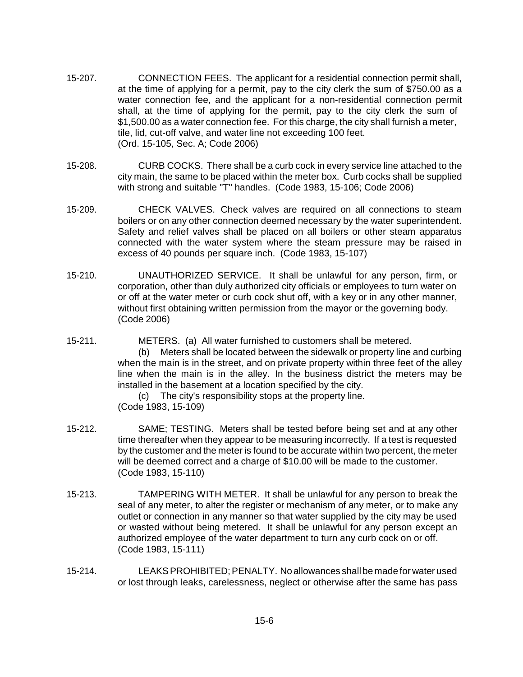- 15-207. CONNECTION FEES. The applicant for a residential connection permit shall, at the time of applying for a permit, pay to the city clerk the sum of \$750.00 as a water connection fee, and the applicant for a non-residential connection permit shall, at the time of applying for the permit, pay to the city clerk the sum of \$1,500.00 as a water connection fee. For this charge, the city shall furnish a meter, tile, lid, cut-off valve, and water line not exceeding 100 feet. (Ord. 15-105, Sec. A; Code 2006)
- 15-208. CURB COCKS. There shall be a curb cock in every service line attached to the city main, the same to be placed within the meter box. Curb cocks shall be supplied with strong and suitable "T" handles. (Code 1983, 15-106; Code 2006)
- 15-209. CHECK VALVES. Check valves are required on all connections to steam boilers or on any other connection deemed necessary by the water superintendent. Safety and relief valves shall be placed on all boilers or other steam apparatus connected with the water system where the steam pressure may be raised in excess of 40 pounds per square inch. (Code 1983, 15-107)
- 15-210. UNAUTHORIZED SERVICE. It shall be unlawful for any person, firm, or corporation, other than duly authorized city officials or employees to turn water on or off at the water meter or curb cock shut off, with a key or in any other manner, without first obtaining written permission from the mayor or the governing body. (Code 2006)
- 15-211. METERS. (a) All water furnished to customers shall be metered. (b) Meters shall be located between the sidewalk or property line and curbing when the main is in the street, and on private property within three feet of the alley line when the main is in the alley. In the business district the meters may be installed in the basement at a location specified by the city.

(c) The city's responsibility stops at the property line. (Code 1983, 15-109)

- 15-212. SAME; TESTING. Meters shall be tested before being set and at any other time thereafter when they appear to be measuring incorrectly. If a test is requested by the customer and the meter is found to be accurate within two percent, the meter will be deemed correct and a charge of \$10.00 will be made to the customer. (Code 1983, 15-110)
- 15-213. TAMPERING WITH METER. It shall be unlawful for any person to break the seal of any meter, to alter the register or mechanism of any meter, or to make any outlet or connection in any manner so that water supplied by the city may be used or wasted without being metered. It shall be unlawful for any person except an authorized employee of the water department to turn any curb cock on or off. (Code 1983, 15-111)
- 15-214. LEAKSPROHIBITED;PENALTY. No allowances shallbe made for water used or lost through leaks, carelessness, neglect or otherwise after the same has pass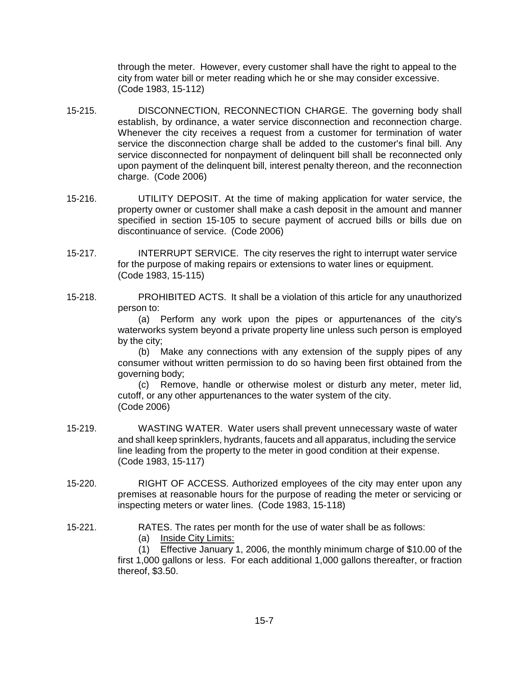through the meter. However, every customer shall have the right to appeal to the city from water bill or meter reading which he or she may consider excessive. (Code 1983, 15-112)

- 15-215. DISCONNECTION, RECONNECTION CHARGE. The governing body shall establish, by ordinance, a water service disconnection and reconnection charge. Whenever the city receives a request from a customer for termination of water service the disconnection charge shall be added to the customer's final bill. Any service disconnected for nonpayment of delinquent bill shall be reconnected only upon payment of the delinquent bill, interest penalty thereon, and the reconnection charge. (Code 2006)
- 15-216. UTILITY DEPOSIT. At the time of making application for water service, the property owner or customer shall make a cash deposit in the amount and manner specified in section 15-105 to secure payment of accrued bills or bills due on discontinuance of service. (Code 2006)
- 15-217. INTERRUPT SERVICE. The city reserves the right to interrupt water service for the purpose of making repairs or extensions to water lines or equipment. (Code 1983, 15-115)
- 15-218. PROHIBITED ACTS. It shall be a violation of this article for any unauthorized person to:

(a) Perform any work upon the pipes or appurtenances of the city's waterworks system beyond a private property line unless such person is employed by the city;

(b) Make any connections with any extension of the supply pipes of any consumer without written permission to do so having been first obtained from the governing body;

(c) Remove, handle or otherwise molest or disturb any meter, meter lid, cutoff, or any other appurtenances to the water system of the city. (Code 2006)

- 15-219. WASTING WATER. Water users shall prevent unnecessary waste of water and shall keep sprinklers, hydrants, faucets and all apparatus, including the service line leading from the property to the meter in good condition at their expense. (Code 1983, 15-117)
- 15-220. RIGHT OF ACCESS. Authorized employees of the city may enter upon any premises at reasonable hours for the purpose of reading the meter or servicing or inspecting meters or water lines. (Code 1983, 15-118)
- 15-221. RATES. The rates per month for the use of water shall be as follows:
	- (a) Inside City Limits:

(1) Effective January 1, 2006, the monthly minimum charge of \$10.00 of the first 1,000 gallons or less. For each additional 1,000 gallons thereafter, or fraction thereof, \$3.50.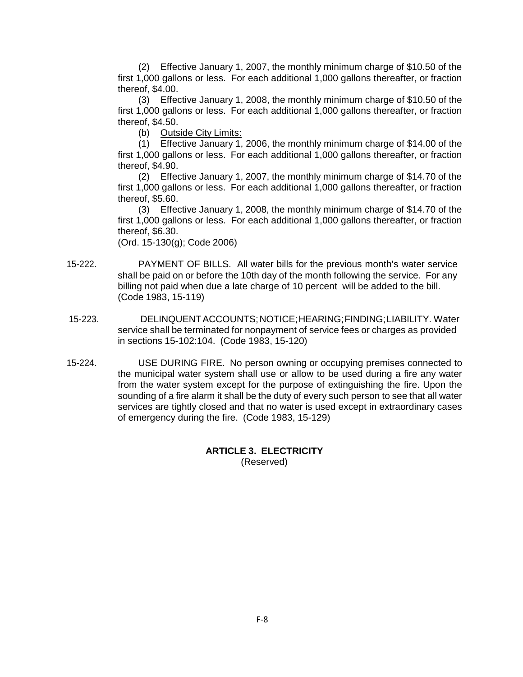(2) Effective January 1, 2007, the monthly minimum charge of \$10.50 of the first 1,000 gallons or less. For each additional 1,000 gallons thereafter, or fraction thereof, \$4.00.

(3) Effective January 1, 2008, the monthly minimum charge of \$10.50 of the first 1,000 gallons or less. For each additional 1,000 gallons thereafter, or fraction thereof, \$4.50.

(b) Outside City Limits:

(1) Effective January 1, 2006, the monthly minimum charge of \$14.00 of the first 1,000 gallons or less. For each additional 1,000 gallons thereafter, or fraction thereof, \$4.90.

(2) Effective January 1, 2007, the monthly minimum charge of \$14.70 of the first 1,000 gallons or less. For each additional 1,000 gallons thereafter, or fraction thereof, \$5.60.

(3) Effective January 1, 2008, the monthly minimum charge of \$14.70 of the first 1,000 gallons or less. For each additional 1,000 gallons thereafter, or fraction thereof, \$6.30.

(Ord. 15-130(g); Code 2006)

- 15-222. PAYMENT OF BILLS. All water bills for the previous month's water service shall be paid on or before the 10th day of the month following the service. For any billing not paid when due a late charge of 10 percent will be added to the bill. (Code 1983, 15-119)
- 15-223. DELINQUENTACCOUNTS;NOTICE;HEARING;FINDING;LIABILITY. Water service shall be terminated for nonpayment of service fees or charges as provided in sections 15-102:104. (Code 1983, 15-120)
- 15-224. USE DURING FIRE. No person owning or occupying premises connected to the municipal water system shall use or allow to be used during a fire any water from the water system except for the purpose of extinguishing the fire. Upon the sounding of a fire alarm it shall be the duty of every such person to see that all water services are tightly closed and that no water is used except in extraordinary cases of emergency during the fire. (Code 1983, 15-129)

**ARTICLE 3. ELECTRICITY** (Reserved)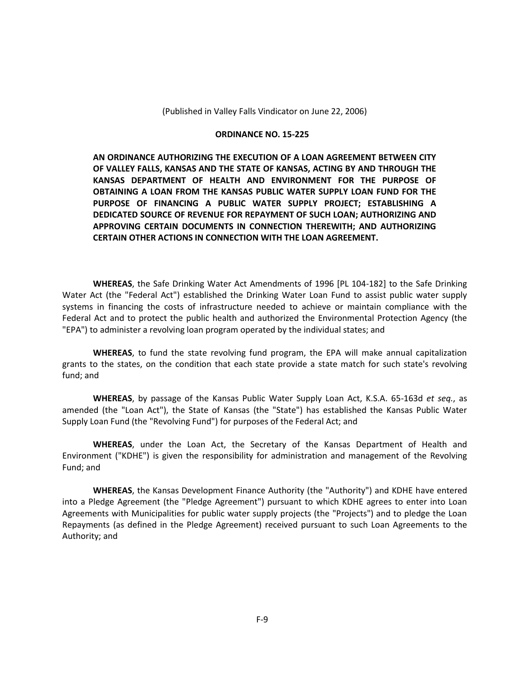(Published in Valley Falls Vindicator on June 22, 2006)

#### **ORDINANCE NO. 15-225**

**AN ORDINANCE AUTHORIZING THE EXECUTION OF A LOAN AGREEMENT BETWEEN CITY OF VALLEY FALLS, KANSAS AND THE STATE OF KANSAS, ACTING BY AND THROUGH THE KANSAS DEPARTMENT OF HEALTH AND ENVIRONMENT FOR THE PURPOSE OF OBTAINING A LOAN FROM THE KANSAS PUBLIC WATER SUPPLY LOAN FUND FOR THE PURPOSE OF FINANCING A PUBLIC WATER SUPPLY PROJECT; ESTABLISHING A DEDICATED SOURCE OF REVENUE FOR REPAYMENT OF SUCH LOAN; AUTHORIZING AND APPROVING CERTAIN DOCUMENTS IN CONNECTION THEREWITH; AND AUTHORIZING CERTAIN OTHER ACTIONS IN CONNECTION WITH THE LOAN AGREEMENT.**

**WHEREAS**, the Safe Drinking Water Act Amendments of 1996 [PL 104-182] to the Safe Drinking Water Act (the "Federal Act") established the Drinking Water Loan Fund to assist public water supply systems in financing the costs of infrastructure needed to achieve or maintain compliance with the Federal Act and to protect the public health and authorized the Environmental Protection Agency (the "EPA") to administer a revolving loan program operated by the individual states; and

**WHEREAS**, to fund the state revolving fund program, the EPA will make annual capitalization grants to the states, on the condition that each state provide a state match for such state's revolving fund; and

**WHEREAS**, by passage of the Kansas Public Water Supply Loan Act, K.S.A. 65-163d *et seq.*, as amended (the "Loan Act"), the State of Kansas (the "State") has established the Kansas Public Water Supply Loan Fund (the "Revolving Fund") for purposes of the Federal Act; and

**WHEREAS**, under the Loan Act, the Secretary of the Kansas Department of Health and Environment ("KDHE") is given the responsibility for administration and management of the Revolving Fund; and

**WHEREAS**, the Kansas Development Finance Authority (the "Authority") and KDHE have entered into a Pledge Agreement (the "Pledge Agreement") pursuant to which KDHE agrees to enter into Loan Agreements with Municipalities for public water supply projects (the "Projects") and to pledge the Loan Repayments (as defined in the Pledge Agreement) received pursuant to such Loan Agreements to the Authority; and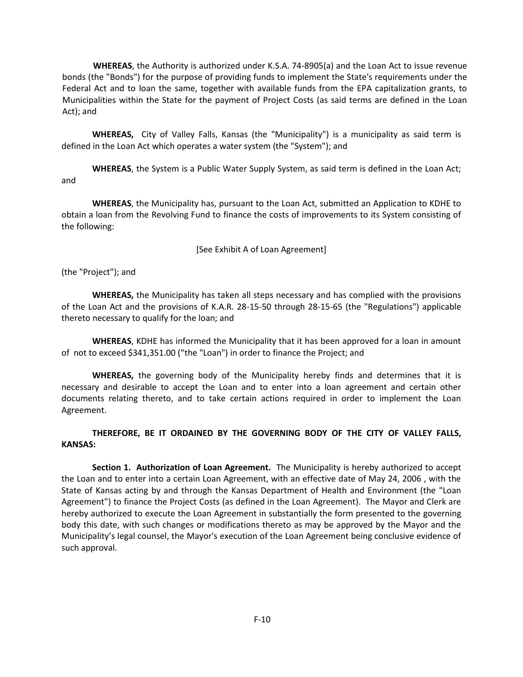**WHEREAS**, the Authority is authorized under K.S.A. 74-8905(a) and the Loan Act to issue revenue bonds (the "Bonds") for the purpose of providing funds to implement the State's requirements under the Federal Act and to loan the same, together with available funds from the EPA capitalization grants, to Municipalities within the State for the payment of Project Costs (as said terms are defined in the Loan Act); and

**WHEREAS,** City of Valley Falls, Kansas (the "Municipality") is a municipality as said term is defined in the Loan Act which operates a water system (the "System"); and

**WHEREAS**, the System is a Public Water Supply System, as said term is defined in the Loan Act; and

**WHEREAS**, the Municipality has, pursuant to the Loan Act, submitted an Application to KDHE to obtain a loan from the Revolving Fund to finance the costs of improvements to its System consisting of the following:

### [See Exhibit A of Loan Agreement]

(the "Project"); and

**WHEREAS,** the Municipality has taken all steps necessary and has complied with the provisions of the Loan Act and the provisions of K.A.R. 28-15-50 through 28-15-65 (the "Regulations") applicable thereto necessary to qualify for the loan; and

**WHEREAS**, KDHE has informed the Municipality that it has been approved for a loan in amount of not to exceed \$341,351.00 ("the "Loan") in order to finance the Project; and

**WHEREAS,** the governing body of the Municipality hereby finds and determines that it is necessary and desirable to accept the Loan and to enter into a loan agreement and certain other documents relating thereto, and to take certain actions required in order to implement the Loan Agreement.

**THEREFORE, BE IT ORDAINED BY THE GOVERNING BODY OF THE CITY OF VALLEY FALLS, KANSAS:**

**Section 1. Authorization of Loan Agreement.** The Municipality is hereby authorized to accept the Loan and to enter into a certain Loan Agreement, with an effective date of May 24, 2006 , with the State of Kansas acting by and through the Kansas Department of Health and Environment (the "Loan Agreement") to finance the Project Costs (as defined in the Loan Agreement). The Mayor and Clerk are hereby authorized to execute the Loan Agreement in substantially the form presented to the governing body this date, with such changes or modifications thereto as may be approved by the Mayor and the Municipality's legal counsel, the Mayor's execution of the Loan Agreement being conclusive evidence of such approval.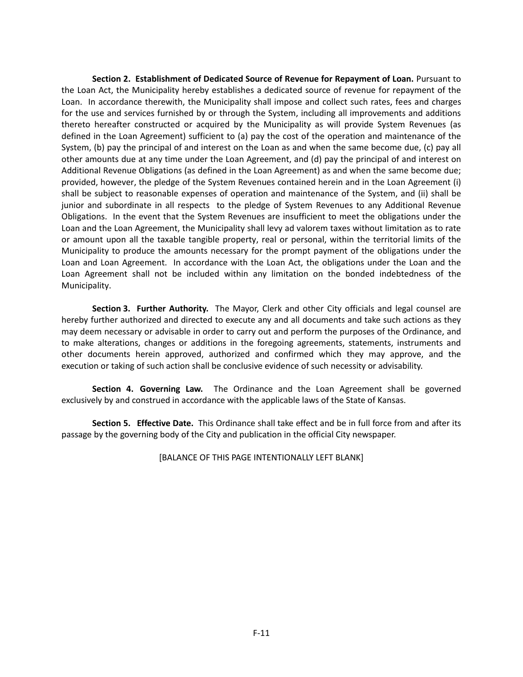**Section 2. Establishment of Dedicated Source of Revenue for Repayment of Loan.** Pursuant to the Loan Act, the Municipality hereby establishes a dedicated source of revenue for repayment of the Loan. In accordance therewith, the Municipality shall impose and collect such rates, fees and charges for the use and services furnished by or through the System, including all improvements and additions thereto hereafter constructed or acquired by the Municipality as will provide System Revenues (as defined in the Loan Agreement) sufficient to (a) pay the cost of the operation and maintenance of the System, (b) pay the principal of and interest on the Loan as and when the same become due, (c) pay all other amounts due at any time under the Loan Agreement, and (d) pay the principal of and interest on Additional Revenue Obligations (as defined in the Loan Agreement) as and when the same become due; provided, however, the pledge of the System Revenues contained herein and in the Loan Agreement (i) shall be subject to reasonable expenses of operation and maintenance of the System, and (ii) shall be junior and subordinate in all respects to the pledge of System Revenues to any Additional Revenue Obligations. In the event that the System Revenues are insufficient to meet the obligations under the Loan and the Loan Agreement, the Municipality shall levy ad valorem taxes without limitation as to rate or amount upon all the taxable tangible property, real or personal, within the territorial limits of the Municipality to produce the amounts necessary for the prompt payment of the obligations under the Loan and Loan Agreement. In accordance with the Loan Act, the obligations under the Loan and the Loan Agreement shall not be included within any limitation on the bonded indebtedness of the Municipality.

**Section 3. Further Authority.** The Mayor, Clerk and other City officials and legal counsel are hereby further authorized and directed to execute any and all documents and take such actions as they may deem necessary or advisable in order to carry out and perform the purposes of the Ordinance, and to make alterations, changes or additions in the foregoing agreements, statements, instruments and other documents herein approved, authorized and confirmed which they may approve, and the execution or taking of such action shall be conclusive evidence of such necessity or advisability.

**Section 4. Governing Law.** The Ordinance and the Loan Agreement shall be governed exclusively by and construed in accordance with the applicable laws of the State of Kansas.

**Section 5. Effective Date.** This Ordinance shall take effect and be in full force from and after its passage by the governing body of the City and publication in the official City newspaper.

[BALANCE OF THIS PAGE INTENTIONALLY LEFT BLANK]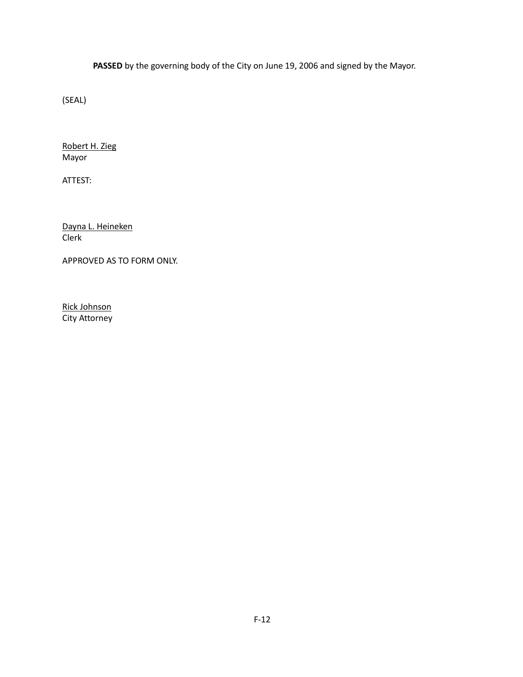**PASSED** by the governing body of the City on June 19, 2006 and signed by the Mayor.

(SEAL)

Robert H. Zieg Mayor

ATTEST:

Dayna L. Heineken Clerk

APPROVED AS TO FORM ONLY.

Rick Johnson City Attorney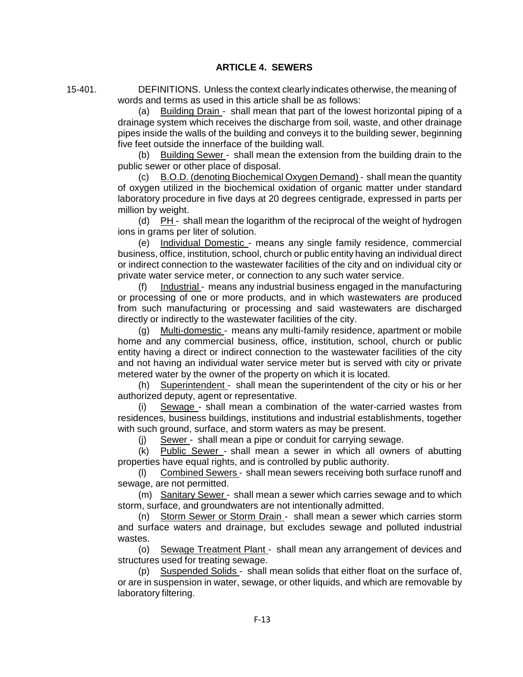15-401. DEFINITIONS. Unless the context clearly indicates otherwise, the meaning of words and terms as used in this article shall be as follows:

> (a) Building Drain - shall mean that part of the lowest horizontal piping of a drainage system which receives the discharge from soil, waste, and other drainage pipes inside the walls of the building and conveys it to the building sewer, beginning five feet outside the innerface of the building wall.

> (b) Building Sewer - shall mean the extension from the building drain to the public sewer or other place of disposal.

> (c) B.O.D. (denoting Biochemical Oxygen Demand) - shall mean the quantity of oxygen utilized in the biochemical oxidation of organic matter under standard laboratory procedure in five days at 20 degrees centigrade, expressed in parts per million by weight.

> (d)  $PH -$  shall mean the logarithm of the reciprocal of the weight of hydrogen ions in grams per liter of solution.

> (e) Individual Domestic - means any single family residence, commercial business, office, institution, school, church or public entity having an individual direct or indirect connection to the wastewater facilities of the city and on individual city or private water service meter, or connection to any such water service.

> (f) Industrial - means any industrial business engaged in the manufacturing or processing of one or more products, and in which wastewaters are produced from such manufacturing or processing and said wastewaters are discharged directly or indirectly to the wastewater facilities of the city.

> (g) Multi-domestic - means any multi-family residence, apartment or mobile home and any commercial business, office, institution, school, church or public entity having a direct or indirect connection to the wastewater facilities of the city and not having an individual water service meter but is served with city or private metered water by the owner of the property on which it is located.

> (h) Superintendent - shall mean the superintendent of the city or his or her authorized deputy, agent or representative.

> (i) Sewage - shall mean a combination of the water-carried wastes from residences, business buildings, institutions and industrial establishments, together with such ground, surface, and storm waters as may be present.

(j) Sewer - shall mean a pipe or conduit for carrying sewage.

(k) Public Sewer - shall mean a sewer in which all owners of abutting properties have equal rights, and is controlled by public authority.

(l) Combined Sewers - shall mean sewers receiving both surface runoff and sewage, are not permitted.

(m) Sanitary Sewer - shall mean a sewer which carries sewage and to which storm, surface, and groundwaters are not intentionally admitted.

(n) Storm Sewer or Storm Drain - shall mean a sewer which carries storm and surface waters and drainage, but excludes sewage and polluted industrial wastes.

(o) Sewage Treatment Plant - shall mean any arrangement of devices and structures used for treating sewage.

(p) Suspended Solids - shall mean solids that either float on the surface of, or are in suspension in water, sewage, or other liquids, and which are removable by laboratory filtering.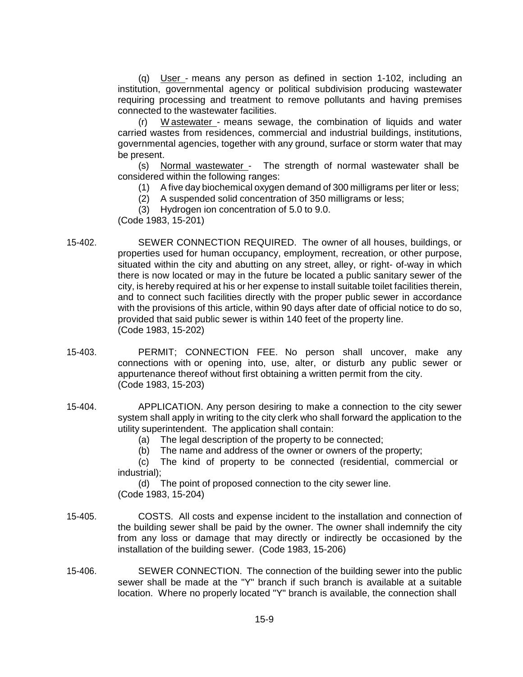(q) User - means any person as defined in section 1-102, including an institution, governmental agency or political subdivision producing wastewater requiring processing and treatment to remove pollutants and having premises connected to the wastewater facilities.

W astewater - means sewage, the combination of liquids and water carried wastes from residences, commercial and industrial buildings, institutions, governmental agencies, together with any ground, surface or storm water that may be present.

(s) Normal wastewater - The strength of normal wastewater shall be considered within the following ranges:

- (1) A five day biochemical oxygen demand of 300 milligrams per liter or less;
- (2) A suspended solid concentration of 350 milligrams or less;
- (3) Hydrogen ion concentration of 5.0 to 9.0.

(Code 1983, 15-201)

- 15-402. SEWER CONNECTION REQUIRED. The owner of all houses, buildings, or properties used for human occupancy, employment, recreation, or other purpose, situated within the city and abutting on any street, alley, or right- of-way in which there is now located or may in the future be located a public sanitary sewer of the city, is hereby required at his or her expense to install suitable toilet facilities therein, and to connect such facilities directly with the proper public sewer in accordance with the provisions of this article, within 90 days after date of official notice to do so, provided that said public sewer is within 140 feet of the property line. (Code 1983, 15-202)
- 15-403. PERMIT; CONNECTION FEE. No person shall uncover, make any connections with or opening into, use, alter, or disturb any public sewer or appurtenance thereof without first obtaining a written permit from the city. (Code 1983, 15-203)
- 15-404. APPLICATION. Any person desiring to make a connection to the city sewer system shall apply in writing to the city clerk who shall forward the application to the utility superintendent. The application shall contain:
	- (a) The legal description of the property to be connected;
	- (b) The name and address of the owner or owners of the property;

(c) The kind of property to be connected (residential, commercial or industrial);

(d) The point of proposed connection to the city sewer line. (Code 1983, 15-204)

- 15-405. COSTS. All costs and expense incident to the installation and connection of the building sewer shall be paid by the owner. The owner shall indemnify the city from any loss or damage that may directly or indirectly be occasioned by the installation of the building sewer. (Code 1983, 15-206)
- 15-406. SEWER CONNECTION. The connection of the building sewer into the public sewer shall be made at the "Y" branch if such branch is available at a suitable location. Where no properly located "Y" branch is available, the connection shall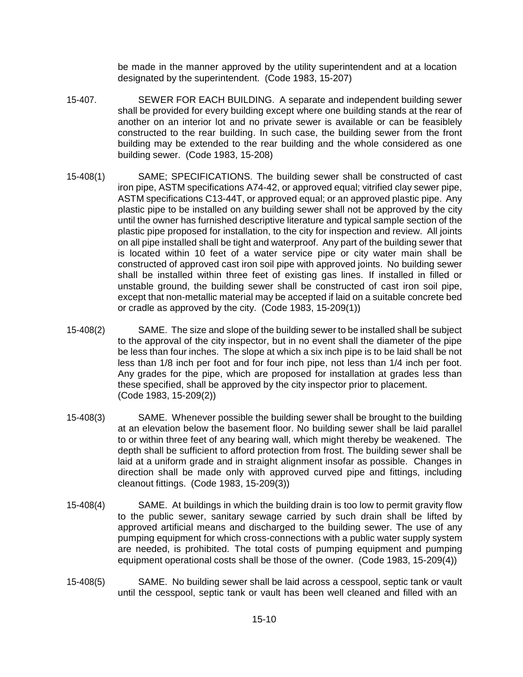be made in the manner approved by the utility superintendent and at a location designated by the superintendent. (Code 1983, 15-207)

- 15-407. SEWER FOR EACH BUILDING. A separate and independent building sewer shall be provided for every building except where one building stands at the rear of another on an interior lot and no private sewer is available or can be feasiblely constructed to the rear building. In such case, the building sewer from the front building may be extended to the rear building and the whole considered as one building sewer. (Code 1983, 15-208)
- 15-408(1) SAME; SPECIFICATIONS. The building sewer shall be constructed of cast iron pipe, ASTM specifications A74-42, or approved equal; vitrified clay sewer pipe, ASTM specifications C13-44T, or approved equal; or an approved plastic pipe. Any plastic pipe to be installed on any building sewer shall not be approved by the city until the owner has furnished descriptive literature and typical sample section of the plastic pipe proposed for installation, to the city for inspection and review. All joints on all pipe installed shall be tight and waterproof. Any part of the building sewer that is located within 10 feet of a water service pipe or city water main shall be constructed of approved cast iron soil pipe with approved joints. No building sewer shall be installed within three feet of existing gas lines. If installed in filled or unstable ground, the building sewer shall be constructed of cast iron soil pipe, except that non-metallic material may be accepted if laid on a suitable concrete bed or cradle as approved by the city. (Code 1983, 15-209(1))
- 15-408(2) SAME. The size and slope of the building sewer to be installed shall be subject to the approval of the city inspector, but in no event shall the diameter of the pipe be less than four inches. The slope at which a six inch pipe is to be laid shall be not less than 1/8 inch per foot and for four inch pipe, not less than 1/4 inch per foot. Any grades for the pipe, which are proposed for installation at grades less than these specified, shall be approved by the city inspector prior to placement. (Code 1983, 15-209(2))
- 15-408(3) SAME. Whenever possible the building sewer shall be brought to the building at an elevation below the basement floor. No building sewer shall be laid parallel to or within three feet of any bearing wall, which might thereby be weakened. The depth shall be sufficient to afford protection from frost. The building sewer shall be laid at a uniform grade and in straight alignment insofar as possible. Changes in direction shall be made only with approved curved pipe and fittings, including cleanout fittings. (Code 1983, 15-209(3))
- 15-408(4) SAME. At buildings in which the building drain is too low to permit gravity flow to the public sewer, sanitary sewage carried by such drain shall be lifted by approved artificial means and discharged to the building sewer. The use of any pumping equipment for which cross-connections with a public water supply system are needed, is prohibited. The total costs of pumping equipment and pumping equipment operational costs shall be those of the owner. (Code 1983, 15-209(4))
- 15-408(5) SAME. No building sewer shall be laid across a cesspool, septic tank or vault until the cesspool, septic tank or vault has been well cleaned and filled with an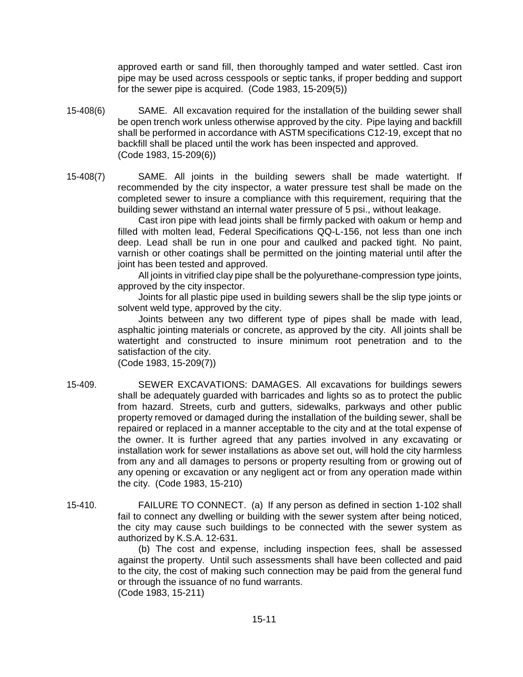approved earth or sand fill, then thoroughly tamped and water settled. Cast iron pipe may be used across cesspools or septic tanks, if proper bedding and support for the sewer pipe is acquired. (Code 1983, 15-209(5))

- 15-408(6) SAME. All excavation required for the installation of the building sewer shall be open trench work unless otherwise approved by the city. Pipe laying and backfill shall be performed in accordance with ASTM specifications C12-19, except that no backfill shall be placed until the work has been inspected and approved. (Code 1983, 15-209(6))
- 15-408(7) SAME. All joints in the building sewers shall be made watertight. If recommended by the city inspector, a water pressure test shall be made on the completed sewer to insure a compliance with this requirement, requiring that the building sewer withstand an internal water pressure of 5 psi., without leakage.

Cast iron pipe with lead joints shall be firmly packed with oakum or hemp and filled with molten lead, Federal Specifications QQ-L-156, not less than one inch deep. Lead shall be run in one pour and caulked and packed tight. No paint, varnish or other coatings shall be permitted on the jointing material until after the joint has been tested and approved.

All joints in vitrified clay pipe shall be the polyurethane-compression type joints, approved by the city inspector.

Joints for all plastic pipe used in building sewers shall be the slip type joints or solvent weld type, approved by the city.

Joints between any two different type of pipes shall be made with lead, asphaltic jointing materials or concrete, as approved by the city. All joints shall be watertight and constructed to insure minimum root penetration and to the satisfaction of the city.

(Code 1983, 15-209(7))

- 15-409. SEWER EXCAVATIONS: DAMAGES. All excavations for buildings sewers shall be adequately guarded with barricades and lights so as to protect the public from hazard. Streets, curb and gutters, sidewalks, parkways and other public property removed or damaged during the installation of the building sewer, shall be repaired or replaced in a manner acceptable to the city and at the total expense of the owner. It is further agreed that any parties involved in any excavating or installation work for sewer installations as above set out, will hold the city harmless from any and all damages to persons or property resulting from or growing out of any opening or excavation or any negligent act or from any operation made within the city. (Code 1983, 15-210)
- 15-410. FAILURE TO CONNECT. (a) If any person as defined in section 1-102 shall fail to connect any dwelling or building with the sewer system after being noticed, the city may cause such buildings to be connected with the sewer system as authorized by K.S.A. 12-631.

(b) The cost and expense, including inspection fees, shall be assessed against the property. Until such assessments shall have been collected and paid to the city, the cost of making such connection may be paid from the general fund or through the issuance of no fund warrants. (Code 1983, 15-211)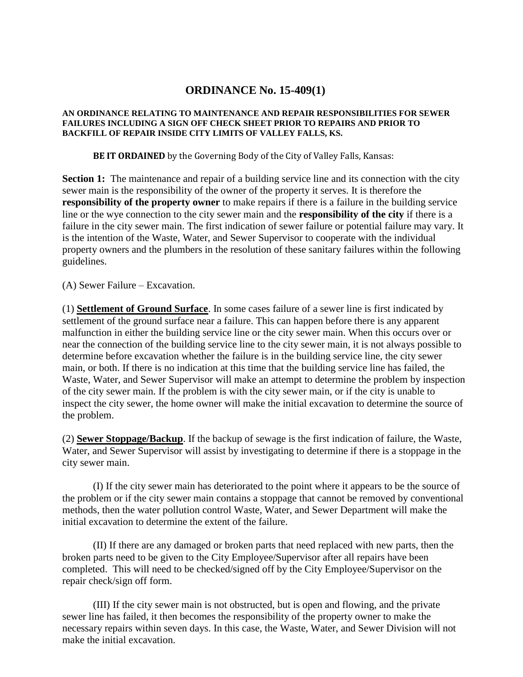# **ORDINANCE No. 15-409(1)**

### **AN ORDINANCE RELATING TO MAINTENANCE AND REPAIR RESPONSIBILITIES FOR SEWER FAILURES INCLUDING A SIGN OFF CHECK SHEET PRIOR TO REPAIRS AND PRIOR TO BACKFILL OF REPAIR INSIDE CITY LIMITS OF VALLEY FALLS, KS.**

**BE IT ORDAINED** by the Governing Body of the City of Valley Falls, Kansas:

**Section 1:** The maintenance and repair of a building service line and its connection with the city sewer main is the responsibility of the owner of the property it serves. It is therefore the **responsibility of the property owner** to make repairs if there is a failure in the building service line or the wye connection to the city sewer main and the **responsibility of the city** if there is a failure in the city sewer main. The first indication of sewer failure or potential failure may vary. It is the intention of the Waste, Water, and Sewer Supervisor to cooperate with the individual property owners and the plumbers in the resolution of these sanitary failures within the following guidelines.

(A) Sewer Failure – Excavation.

(1) **Settlement of Ground Surface**. In some cases failure of a sewer line is first indicated by settlement of the ground surface near a failure. This can happen before there is any apparent malfunction in either the building service line or the city sewer main. When this occurs over or near the connection of the building service line to the city sewer main, it is not always possible to determine before excavation whether the failure is in the building service line, the city sewer main, or both. If there is no indication at this time that the building service line has failed, the Waste, Water, and Sewer Supervisor will make an attempt to determine the problem by inspection of the city sewer main. If the problem is with the city sewer main, or if the city is unable to inspect the city sewer, the home owner will make the initial excavation to determine the source of the problem.

(2) **Sewer Stoppage/Backup**. If the backup of sewage is the first indication of failure, the Waste, Water, and Sewer Supervisor will assist by investigating to determine if there is a stoppage in the city sewer main.

(I) If the city sewer main has deteriorated to the point where it appears to be the source of the problem or if the city sewer main contains a stoppage that cannot be removed by conventional methods, then the water pollution control Waste, Water, and Sewer Department will make the initial excavation to determine the extent of the failure.

(II) If there are any damaged or broken parts that need replaced with new parts, then the broken parts need to be given to the City Employee/Supervisor after all repairs have been completed. This will need to be checked/signed off by the City Employee/Supervisor on the repair check/sign off form.

(III) If the city sewer main is not obstructed, but is open and flowing, and the private sewer line has failed, it then becomes the responsibility of the property owner to make the necessary repairs within seven days. In this case, the Waste, Water, and Sewer Division will not make the initial excavation.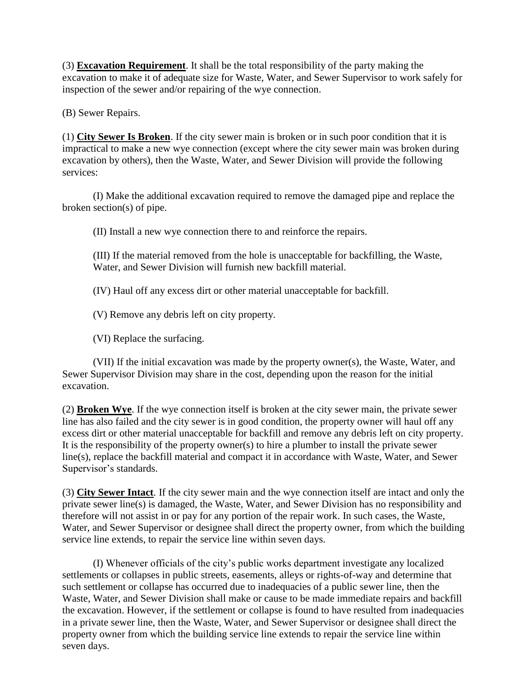(3) **Excavation Requirement**. It shall be the total responsibility of the party making the excavation to make it of adequate size for Waste, Water, and Sewer Supervisor to work safely for inspection of the sewer and/or repairing of the wye connection.

(B) Sewer Repairs.

(1) **City Sewer Is Broken**. If the city sewer main is broken or in such poor condition that it is impractical to make a new wye connection (except where the city sewer main was broken during excavation by others), then the Waste, Water, and Sewer Division will provide the following services:

(I) Make the additional excavation required to remove the damaged pipe and replace the broken section(s) of pipe.

(II) Install a new wye connection there to and reinforce the repairs.

(III) If the material removed from the hole is unacceptable for backfilling, the Waste, Water, and Sewer Division will furnish new backfill material.

(IV) Haul off any excess dirt or other material unacceptable for backfill.

(V) Remove any debris left on city property.

(VI) Replace the surfacing.

(VII) If the initial excavation was made by the property owner(s), the Waste, Water, and Sewer Supervisor Division may share in the cost, depending upon the reason for the initial excavation.

(2) **Broken Wye**. If the wye connection itself is broken at the city sewer main, the private sewer line has also failed and the city sewer is in good condition, the property owner will haul off any excess dirt or other material unacceptable for backfill and remove any debris left on city property. It is the responsibility of the property owner(s) to hire a plumber to install the private sewer line(s), replace the backfill material and compact it in accordance with Waste, Water, and Sewer Supervisor's standards.

(3) **City Sewer Intact**. If the city sewer main and the wye connection itself are intact and only the private sewer line(s) is damaged, the Waste, Water, and Sewer Division has no responsibility and therefore will not assist in or pay for any portion of the repair work. In such cases, the Waste, Water, and Sewer Supervisor or designee shall direct the property owner, from which the building service line extends, to repair the service line within seven days.

(I) Whenever officials of the city's public works department investigate any localized settlements or collapses in public streets, easements, alleys or rights-of-way and determine that such settlement or collapse has occurred due to inadequacies of a public sewer line, then the Waste, Water, and Sewer Division shall make or cause to be made immediate repairs and backfill the excavation. However, if the settlement or collapse is found to have resulted from inadequacies in a private sewer line, then the Waste, Water, and Sewer Supervisor or designee shall direct the property owner from which the building service line extends to repair the service line within seven days.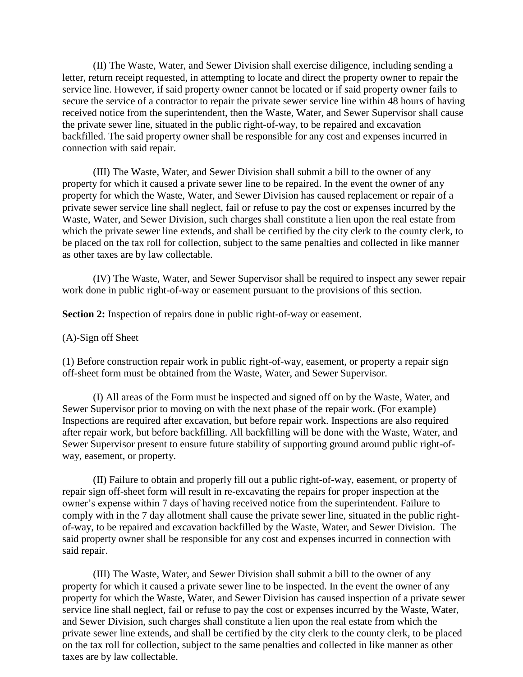(II) The Waste, Water, and Sewer Division shall exercise diligence, including sending a letter, return receipt requested, in attempting to locate and direct the property owner to repair the service line. However, if said property owner cannot be located or if said property owner fails to secure the service of a contractor to repair the private sewer service line within 48 hours of having received notice from the superintendent, then the Waste, Water, and Sewer Supervisor shall cause the private sewer line, situated in the public right-of-way, to be repaired and excavation backfilled. The said property owner shall be responsible for any cost and expenses incurred in connection with said repair.

(III) The Waste, Water, and Sewer Division shall submit a bill to the owner of any property for which it caused a private sewer line to be repaired. In the event the owner of any property for which the Waste, Water, and Sewer Division has caused replacement or repair of a private sewer service line shall neglect, fail or refuse to pay the cost or expenses incurred by the Waste, Water, and Sewer Division, such charges shall constitute a lien upon the real estate from which the private sewer line extends, and shall be certified by the city clerk to the county clerk, to be placed on the tax roll for collection, subject to the same penalties and collected in like manner as other taxes are by law collectable.

(IV) The Waste, Water, and Sewer Supervisor shall be required to inspect any sewer repair work done in public right-of-way or easement pursuant to the provisions of this section.

**Section 2:** Inspection of repairs done in public right-of-way or easement.

# (A)-Sign off Sheet

(1) Before construction repair work in public right-of-way, easement, or property a repair sign off-sheet form must be obtained from the Waste, Water, and Sewer Supervisor.

(I) All areas of the Form must be inspected and signed off on by the Waste, Water, and Sewer Supervisor prior to moving on with the next phase of the repair work. (For example) Inspections are required after excavation, but before repair work. Inspections are also required after repair work, but before backfilling. All backfilling will be done with the Waste, Water, and Sewer Supervisor present to ensure future stability of supporting ground around public right-ofway, easement, or property.

(II) Failure to obtain and properly fill out a public right-of-way, easement, or property of repair sign off-sheet form will result in re-excavating the repairs for proper inspection at the owner's expense within 7 days of having received notice from the superintendent. Failure to comply with in the 7 day allotment shall cause the private sewer line, situated in the public rightof-way, to be repaired and excavation backfilled by the Waste, Water, and Sewer Division. The said property owner shall be responsible for any cost and expenses incurred in connection with said repair.

(III) The Waste, Water, and Sewer Division shall submit a bill to the owner of any property for which it caused a private sewer line to be inspected. In the event the owner of any property for which the Waste, Water, and Sewer Division has caused inspection of a private sewer service line shall neglect, fail or refuse to pay the cost or expenses incurred by the Waste, Water, and Sewer Division, such charges shall constitute a lien upon the real estate from which the private sewer line extends, and shall be certified by the city clerk to the county clerk, to be placed on the tax roll for collection, subject to the same penalties and collected in like manner as other taxes are by law collectable.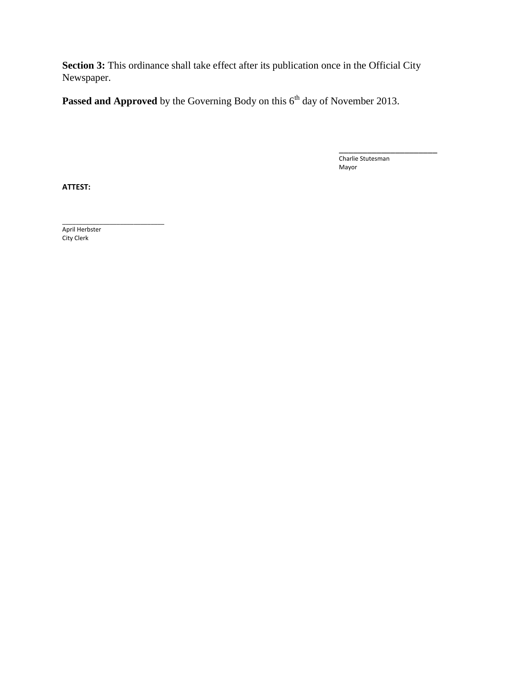Section 3: This ordinance shall take effect after its publication once in the Official City Newspaper.

Passed and Approved by the Governing Body on this 6<sup>th</sup> day of November 2013.

\_\_\_\_\_\_\_\_\_\_\_\_\_\_\_\_\_\_\_\_\_ Charlie Stutesman Mayor

**ATTEST:**

April Herbster City Clerk

\_\_\_\_\_\_\_\_\_\_\_\_\_\_\_\_\_\_\_\_\_\_\_\_\_\_\_\_\_\_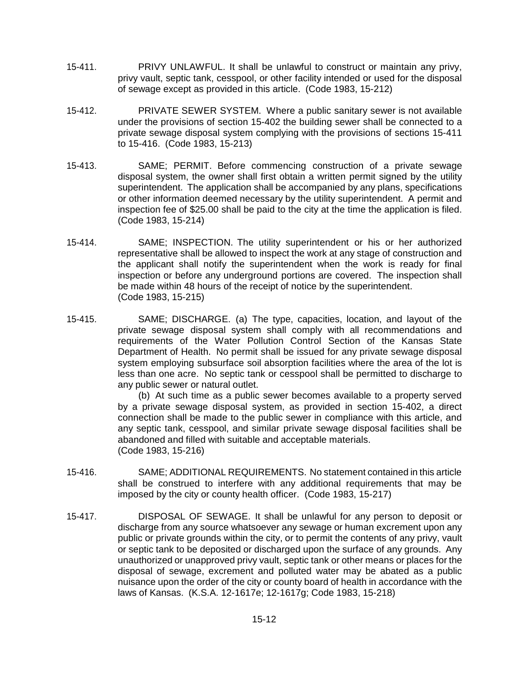- 15-411. PRIVY UNLAWFUL. It shall be unlawful to construct or maintain any privy, privy vault, septic tank, cesspool, or other facility intended or used for the disposal of sewage except as provided in this article. (Code 1983, 15-212)
- 15-412. PRIVATE SEWER SYSTEM. Where a public sanitary sewer is not available under the provisions of section 15-402 the building sewer shall be connected to a private sewage disposal system complying with the provisions of sections 15-411 to 15-416. (Code 1983, 15-213)
- 15-413. SAME; PERMIT. Before commencing construction of a private sewage disposal system, the owner shall first obtain a written permit signed by the utility superintendent. The application shall be accompanied by any plans, specifications or other information deemed necessary by the utility superintendent. A permit and inspection fee of \$25.00 shall be paid to the city at the time the application is filed. (Code 1983, 15-214)
- 15-414. SAME; INSPECTION. The utility superintendent or his or her authorized representative shall be allowed to inspect the work at any stage of construction and the applicant shall notify the superintendent when the work is ready for final inspection or before any underground portions are covered. The inspection shall be made within 48 hours of the receipt of notice by the superintendent. (Code 1983, 15-215)
- 15-415. SAME; DISCHARGE. (a) The type, capacities, location, and layout of the private sewage disposal system shall comply with all recommendations and requirements of the Water Pollution Control Section of the Kansas State Department of Health. No permit shall be issued for any private sewage disposal system employing subsurface soil absorption facilities where the area of the lot is less than one acre. No septic tank or cesspool shall be permitted to discharge to any public sewer or natural outlet.

(b) At such time as a public sewer becomes available to a property served by a private sewage disposal system, as provided in section 15-402, a direct connection shall be made to the public sewer in compliance with this article, and any septic tank, cesspool, and similar private sewage disposal facilities shall be abandoned and filled with suitable and acceptable materials. (Code 1983, 15-216)

- 15-416. SAME; ADDITIONAL REQUIREMENTS. No statement contained in this article shall be construed to interfere with any additional requirements that may be imposed by the city or county health officer. (Code 1983, 15-217)
- 15-417. DISPOSAL OF SEWAGE. It shall be unlawful for any person to deposit or discharge from any source whatsoever any sewage or human excrement upon any public or private grounds within the city, or to permit the contents of any privy, vault or septic tank to be deposited or discharged upon the surface of any grounds. Any unauthorized or unapproved privy vault, septic tank or other means or places for the disposal of sewage, excrement and polluted water may be abated as a public nuisance upon the order of the city or county board of health in accordance with the laws of Kansas. (K.S.A. 12-1617e; 12-1617g; Code 1983, 15-218)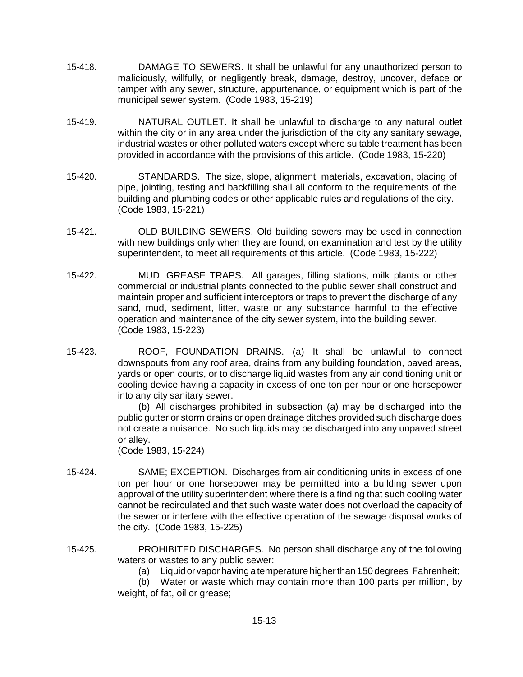- 15-418. DAMAGE TO SEWERS. It shall be unlawful for any unauthorized person to maliciously, willfully, or negligently break, damage, destroy, uncover, deface or tamper with any sewer, structure, appurtenance, or equipment which is part of the municipal sewer system. (Code 1983, 15-219)
- 15-419. NATURAL OUTLET. It shall be unlawful to discharge to any natural outlet within the city or in any area under the jurisdiction of the city any sanitary sewage. industrial wastes or other polluted waters except where suitable treatment has been provided in accordance with the provisions of this article. (Code 1983, 15-220)
- 15-420. STANDARDS. The size, slope, alignment, materials, excavation, placing of pipe, jointing, testing and backfilling shall all conform to the requirements of the building and plumbing codes or other applicable rules and regulations of the city. (Code 1983, 15-221)
- 15-421. OLD BUILDING SEWERS. Old building sewers may be used in connection with new buildings only when they are found, on examination and test by the utility superintendent, to meet all requirements of this article. (Code 1983, 15-222)
- 15-422. MUD, GREASE TRAPS. All garages, filling stations, milk plants or other commercial or industrial plants connected to the public sewer shall construct and maintain proper and sufficient interceptors or traps to prevent the discharge of any sand, mud, sediment, litter, waste or any substance harmful to the effective operation and maintenance of the city sewer system, into the building sewer. (Code 1983, 15-223)
- 15-423. ROOF, FOUNDATION DRAINS. (a) It shall be unlawful to connect downspouts from any roof area, drains from any building foundation, paved areas, yards or open courts, or to discharge liquid wastes from any air conditioning unit or cooling device having a capacity in excess of one ton per hour or one horsepower into any city sanitary sewer.

(b) All discharges prohibited in subsection (a) may be discharged into the public gutter or storm drains or open drainage ditches provided such discharge does not create a nuisance. No such liquids may be discharged into any unpaved street or alley.

(Code 1983, 15-224)

- 15-424. SAME; EXCEPTION. Discharges from air conditioning units in excess of one ton per hour or one horsepower may be permitted into a building sewer upon approval of the utility superintendent where there is a finding that such cooling water cannot be recirculated and that such waste water does not overload the capacity of the sewer or interfere with the effective operation of the sewage disposal works of the city. (Code 1983, 15-225)
- 15-425. PROHIBITED DISCHARGES. No person shall discharge any of the following waters or wastes to any public sewer:
	- (a) Liquid or vapor having a temperature higherthan 150 degrees Fahrenheit;

(b) Water or waste which may contain more than 100 parts per million, by weight, of fat, oil or grease;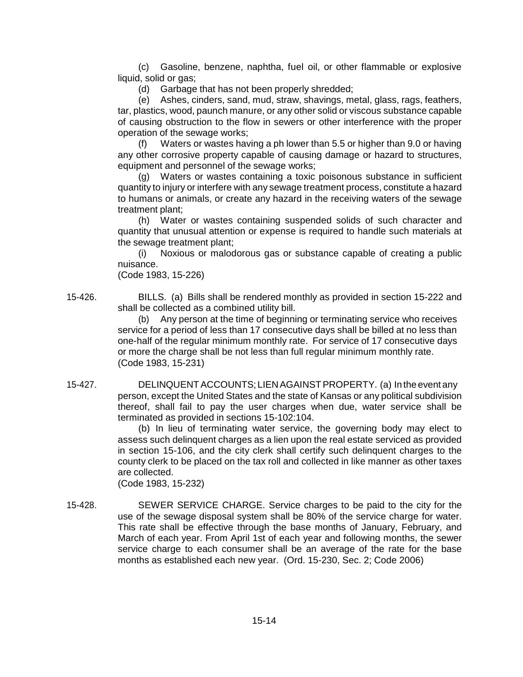(c) Gasoline, benzene, naphtha, fuel oil, or other flammable or explosive liquid, solid or gas;

(d) Garbage that has not been properly shredded;

(e) Ashes, cinders, sand, mud, straw, shavings, metal, glass, rags, feathers, tar, plastics, wood, paunch manure, or any other solid or viscous substance capable of causing obstruction to the flow in sewers or other interference with the proper operation of the sewage works;

(f) Waters or wastes having a ph lower than 5.5 or higher than 9.0 or having any other corrosive property capable of causing damage or hazard to structures, equipment and personnel of the sewage works;

(g) Waters or wastes containing a toxic poisonous substance in sufficient quantity to injury or interfere with any sewage treatment process, constitute a hazard to humans or animals, or create any hazard in the receiving waters of the sewage treatment plant;

(h) Water or wastes containing suspended solids of such character and quantity that unusual attention or expense is required to handle such materials at the sewage treatment plant;

(i) Noxious or malodorous gas or substance capable of creating a public nuisance.

(Code 1983, 15-226)

15-426. BILLS. (a) Bills shall be rendered monthly as provided in section 15-222 and shall be collected as a combined utility bill.

> (b) Any person at the time of beginning or terminating service who receives service for a period of less than 17 consecutive days shall be billed at no less than one-half of the regular minimum monthly rate. For service of 17 consecutive days or more the charge shall be not less than full regular minimum monthly rate. (Code 1983, 15-231)

15-427. DELINQUENTACCOUNTS; LIENAGAINSTPROPERTY. (a) In theevent any person, except the United States and the state of Kansas or any political subdivision thereof, shall fail to pay the user charges when due, water service shall be terminated as provided in sections 15-102:104.

(b) In lieu of terminating water service, the governing body may elect to assess such delinquent charges as a lien upon the real estate serviced as provided in section 15-106, and the city clerk shall certify such delinquent charges to the county clerk to be placed on the tax roll and collected in like manner as other taxes are collected.

(Code 1983, 15-232)

15-428. SEWER SERVICE CHARGE. Service charges to be paid to the city for the use of the sewage disposal system shall be 80% of the service charge for water. This rate shall be effective through the base months of January, February, and March of each year. From April 1st of each year and following months, the sewer service charge to each consumer shall be an average of the rate for the base months as established each new year. (Ord. 15-230, Sec. 2; Code 2006)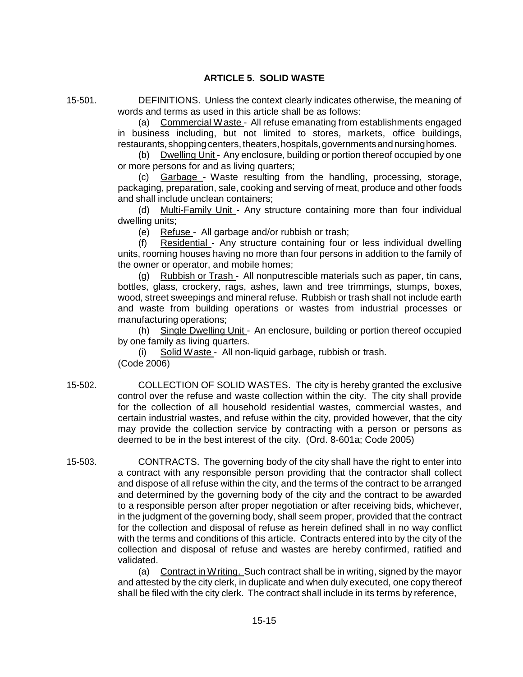# **ARTICLE 5. SOLID WASTE**

15-501. DEFINITIONS. Unless the context clearly indicates otherwise, the meaning of words and terms as used in this article shall be as follows:

> (a) Commercial Waste - All refuse emanating from establishments engaged in business including, but not limited to stores, markets, office buildings, restaurants, shopping centers, theaters, hospitals, governments and nursing homes.

> (b) Dwelling Unit - Any enclosure, building or portion thereof occupied by one or more persons for and as living quarters;

> (c) Garbage - Waste resulting from the handling, processing, storage, packaging, preparation, sale, cooking and serving of meat, produce and other foods and shall include unclean containers;

> (d) Multi-Family Unit - Any structure containing more than four individual dwelling units;

(e) Refuse - All garbage and/or rubbish or trash;

(f) Residential - Any structure containing four or less individual dwelling units, rooming houses having no more than four persons in addition to the family of the owner or operator, and mobile homes;

(g) Rubbish or Trash - All nonputrescible materials such as paper, tin cans, bottles, glass, crockery, rags, ashes, lawn and tree trimmings, stumps, boxes, wood, street sweepings and mineral refuse. Rubbish or trash shall not include earth and waste from building operations or wastes from industrial processes or manufacturing operations;

(h) Single Dwelling Unit - An enclosure, building or portion thereof occupied by one family as living quarters.

(i) Solid Waste - All non-liquid garbage, rubbish or trash. (Code 2006)

- 15-502. COLLECTION OF SOLID WASTES. The city is hereby granted the exclusive control over the refuse and waste collection within the city. The city shall provide for the collection of all household residential wastes, commercial wastes, and certain industrial wastes, and refuse within the city, provided however, that the city may provide the collection service by contracting with a person or persons as deemed to be in the best interest of the city. (Ord. 8-601a; Code 2005)
- 15-503. CONTRACTS. The governing body of the city shall have the right to enter into a contract with any responsible person providing that the contractor shall collect and dispose of all refuse within the city, and the terms of the contract to be arranged and determined by the governing body of the city and the contract to be awarded to a responsible person after proper negotiation or after receiving bids, whichever, in the judgment of the governing body, shall seem proper, provided that the contract for the collection and disposal of refuse as herein defined shall in no way conflict with the terms and conditions of this article. Contracts entered into by the city of the collection and disposal of refuse and wastes are hereby confirmed, ratified and validated.

(a) Contract in Writing. Such contract shall be in writing, signed by the mayor and attested by the city clerk, in duplicate and when duly executed, one copy thereof shall be filed with the city clerk. The contract shall include in its terms by reference,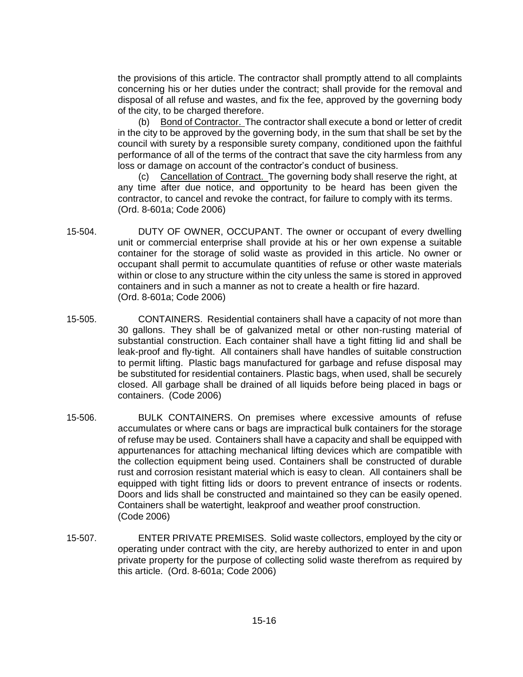the provisions of this article. The contractor shall promptly attend to all complaints concerning his or her duties under the contract; shall provide for the removal and disposal of all refuse and wastes, and fix the fee, approved by the governing body of the city, to be charged therefore.

(b) Bond of Contractor. The contractor shall execute a bond or letter of credit in the city to be approved by the governing body, in the sum that shall be set by the council with surety by a responsible surety company, conditioned upon the faithful performance of all of the terms of the contract that save the city harmless from any loss or damage on account of the contractor's conduct of business.

(c) Cancellation of Contract. The governing body shall reserve the right, at any time after due notice, and opportunity to be heard has been given the contractor, to cancel and revoke the contract, for failure to comply with its terms. (Ord. 8-601a; Code 2006)

- 15-504. DUTY OF OWNER, OCCUPANT. The owner or occupant of every dwelling unit or commercial enterprise shall provide at his or her own expense a suitable container for the storage of solid waste as provided in this article. No owner or occupant shall permit to accumulate quantities of refuse or other waste materials within or close to any structure within the city unless the same is stored in approved containers and in such a manner as not to create a health or fire hazard. (Ord. 8-601a; Code 2006)
- 15-505. CONTAINERS. Residential containers shall have a capacity of not more than 30 gallons. They shall be of galvanized metal or other non-rusting material of substantial construction. Each container shall have a tight fitting lid and shall be leak-proof and fly-tight. All containers shall have handles of suitable construction to permit lifting. Plastic bags manufactured for garbage and refuse disposal may be substituted for residential containers. Plastic bags, when used, shall be securely closed. All garbage shall be drained of all liquids before being placed in bags or containers. (Code 2006)
- 15-506. BULK CONTAINERS. On premises where excessive amounts of refuse accumulates or where cans or bags are impractical bulk containers for the storage of refuse may be used. Containers shall have a capacity and shall be equipped with appurtenances for attaching mechanical lifting devices which are compatible with the collection equipment being used. Containers shall be constructed of durable rust and corrosion resistant material which is easy to clean. All containers shall be equipped with tight fitting lids or doors to prevent entrance of insects or rodents. Doors and lids shall be constructed and maintained so they can be easily opened. Containers shall be watertight, leakproof and weather proof construction. (Code 2006)
- 15-507. ENTER PRIVATE PREMISES. Solid waste collectors, employed by the city or operating under contract with the city, are hereby authorized to enter in and upon private property for the purpose of collecting solid waste therefrom as required by this article. (Ord. 8-601a; Code 2006)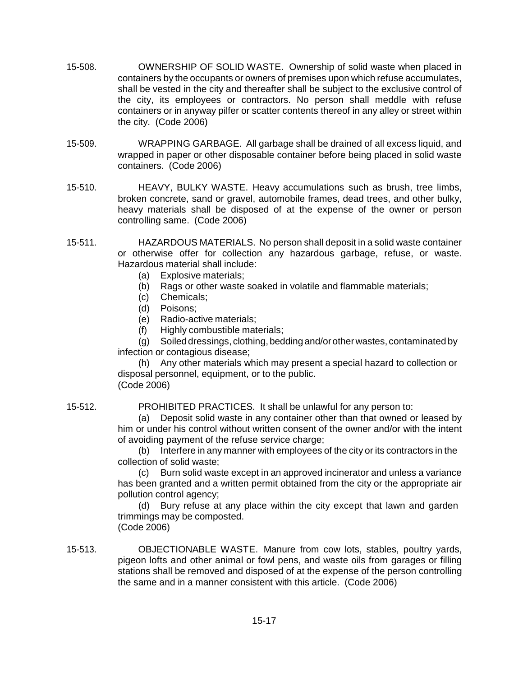- 15-508. OWNERSHIP OF SOLID WASTE. Ownership of solid waste when placed in containers by the occupants or owners of premises upon which refuse accumulates, shall be vested in the city and thereafter shall be subject to the exclusive control of the city, its employees or contractors. No person shall meddle with refuse containers or in anyway pilfer or scatter contents thereof in any alley or street within the city. (Code 2006)
- 15-509. WRAPPING GARBAGE. All garbage shall be drained of all excess liquid, and wrapped in paper or other disposable container before being placed in solid waste containers. (Code 2006)
- 15-510. HEAVY, BULKY WASTE. Heavy accumulations such as brush, tree limbs, broken concrete, sand or gravel, automobile frames, dead trees, and other bulky, heavy materials shall be disposed of at the expense of the owner or person controlling same. (Code 2006)
- 15-511. HAZARDOUS MATERIALS. No person shall deposit in a solid waste container or otherwise offer for collection any hazardous garbage, refuse, or waste. Hazardous material shall include:
	- (a) Explosive materials;
	- (b) Rags or other waste soaked in volatile and flammable materials;
	- (c) Chemicals;
	- (d) Poisons;
	- (e) Radio-active materials;
	- (f) Highly combustible materials;

(g) Soiled dressings, clothing, bedding and/orother wastes, contaminated by infection or contagious disease;

(h) Any other materials which may present a special hazard to collection or disposal personnel, equipment, or to the public. (Code 2006)

15-512. PROHIBITED PRACTICES. It shall be unlawful for any person to:

(a) Deposit solid waste in any container other than that owned or leased by him or under his control without written consent of the owner and/or with the intent of avoiding payment of the refuse service charge;

(b) Interfere in any manner with employees of the city or its contractors in the collection of solid waste;

(c) Burn solid waste except in an approved incinerator and unless a variance has been granted and a written permit obtained from the city or the appropriate air pollution control agency;

(d) Bury refuse at any place within the city except that lawn and garden trimmings may be composted.

(Code 2006)

15-513. OBJECTIONABLE WASTE. Manure from cow lots, stables, poultry yards, pigeon lofts and other animal or fowl pens, and waste oils from garages or filling stations shall be removed and disposed of at the expense of the person controlling the same and in a manner consistent with this article. (Code 2006)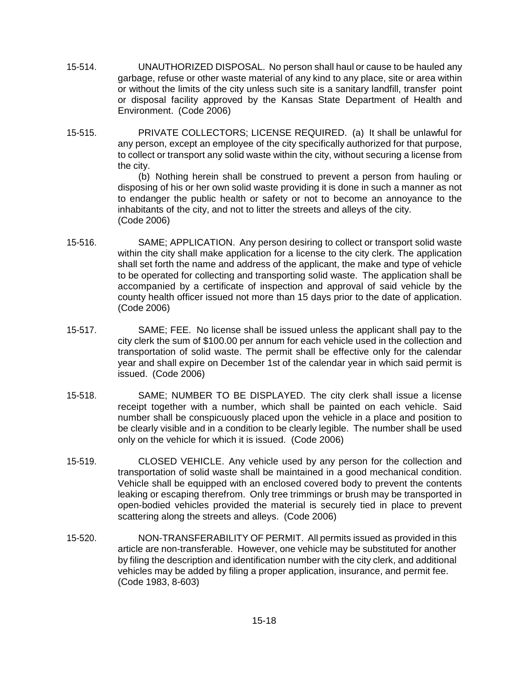- 15-514. UNAUTHORIZED DISPOSAL. No person shall haul or cause to be hauled any garbage, refuse or other waste material of any kind to any place, site or area within or without the limits of the city unless such site is a sanitary landfill, transfer point or disposal facility approved by the Kansas State Department of Health and Environment. (Code 2006)
- 15-515. PRIVATE COLLECTORS; LICENSE REQUIRED. (a) It shall be unlawful for any person, except an employee of the city specifically authorized for that purpose, to collect or transport any solid waste within the city, without securing a license from the city.

(b) Nothing herein shall be construed to prevent a person from hauling or disposing of his or her own solid waste providing it is done in such a manner as not to endanger the public health or safety or not to become an annoyance to the inhabitants of the city, and not to litter the streets and alleys of the city. (Code 2006)

- 15-516. SAME; APPLICATION. Any person desiring to collect or transport solid waste within the city shall make application for a license to the city clerk. The application shall set forth the name and address of the applicant, the make and type of vehicle to be operated for collecting and transporting solid waste. The application shall be accompanied by a certificate of inspection and approval of said vehicle by the county health officer issued not more than 15 days prior to the date of application. (Code 2006)
- 15-517. SAME; FEE. No license shall be issued unless the applicant shall pay to the city clerk the sum of \$100.00 per annum for each vehicle used in the collection and transportation of solid waste. The permit shall be effective only for the calendar year and shall expire on December 1st of the calendar year in which said permit is issued. (Code 2006)
- 15-518. SAME; NUMBER TO BE DISPLAYED. The city clerk shall issue a license receipt together with a number, which shall be painted on each vehicle. Said number shall be conspicuously placed upon the vehicle in a place and position to be clearly visible and in a condition to be clearly legible. The number shall be used only on the vehicle for which it is issued. (Code 2006)
- 15-519. CLOSED VEHICLE. Any vehicle used by any person for the collection and transportation of solid waste shall be maintained in a good mechanical condition. Vehicle shall be equipped with an enclosed covered body to prevent the contents leaking or escaping therefrom. Only tree trimmings or brush may be transported in open-bodied vehicles provided the material is securely tied in place to prevent scattering along the streets and alleys. (Code 2006)
- 15-520. NON-TRANSFERABILITY OF PERMIT. All permits issued as provided in this article are non-transferable. However, one vehicle may be substituted for another by filing the description and identification number with the city clerk, and additional vehicles may be added by filing a proper application, insurance, and permit fee. (Code 1983, 8-603)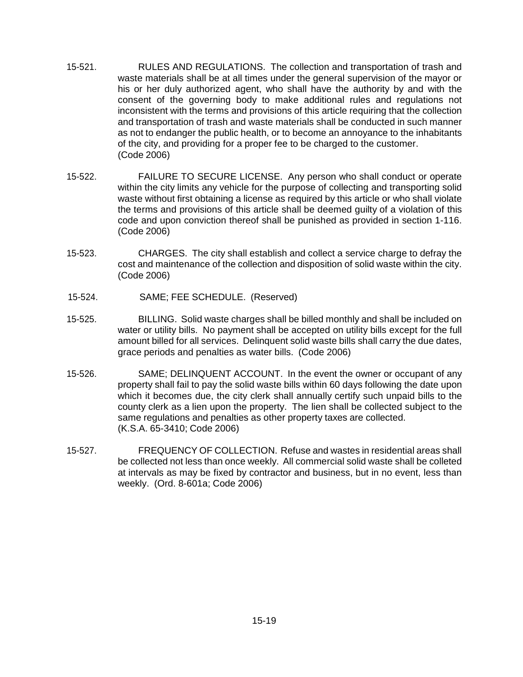- 15-521. RULES AND REGULATIONS. The collection and transportation of trash and waste materials shall be at all times under the general supervision of the mayor or his or her duly authorized agent, who shall have the authority by and with the consent of the governing body to make additional rules and regulations not inconsistent with the terms and provisions of this article requiring that the collection and transportation of trash and waste materials shall be conducted in such manner as not to endanger the public health, or to become an annoyance to the inhabitants of the city, and providing for a proper fee to be charged to the customer. (Code 2006)
- 15-522. FAILURE TO SECURE LICENSE. Any person who shall conduct or operate within the city limits any vehicle for the purpose of collecting and transporting solid waste without first obtaining a license as required by this article or who shall violate the terms and provisions of this article shall be deemed guilty of a violation of this code and upon conviction thereof shall be punished as provided in section 1-116. (Code 2006)
- 15-523. CHARGES. The city shall establish and collect a service charge to defray the cost and maintenance of the collection and disposition of solid waste within the city. (Code 2006)
- 15-524. SAME; FEE SCHEDULE. (Reserved)
- 15-525. BILLING. Solid waste charges shall be billed monthly and shall be included on water or utility bills. No payment shall be accepted on utility bills except for the full amount billed for all services. Delinquent solid waste bills shall carry the due dates, grace periods and penalties as water bills. (Code 2006)
- 15-526. SAME; DELINQUENT ACCOUNT. In the event the owner or occupant of any property shall fail to pay the solid waste bills within 60 days following the date upon which it becomes due, the city clerk shall annually certify such unpaid bills to the county clerk as a lien upon the property. The lien shall be collected subject to the same regulations and penalties as other property taxes are collected. (K.S.A. 65-3410; Code 2006)
- 15-527. FREQUENCY OF COLLECTION. Refuse and wastes in residential areas shall be collected not less than once weekly. All commercial solid waste shall be colleted at intervals as may be fixed by contractor and business, but in no event, less than weekly. (Ord. 8-601a; Code 2006)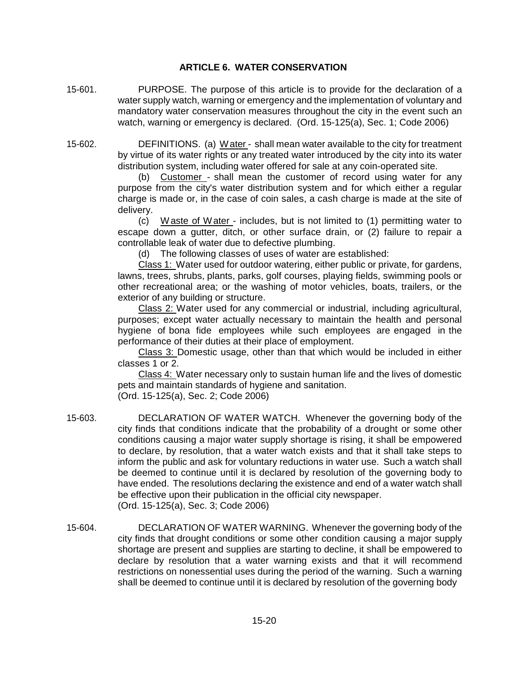# **ARTICLE 6. WATER CONSERVATION**

- 15-601. PURPOSE. The purpose of this article is to provide for the declaration of a water supply watch, warning or emergency and the implementation of voluntary and mandatory water conservation measures throughout the city in the event such an watch, warning or emergency is declared. (Ord. 15-125(a), Sec. 1; Code 2006)
- 15-602. DEFINITIONS. (a) Water shall mean water available to the city for treatment by virtue of its water rights or any treated water introduced by the city into its water distribution system, including water offered for sale at any coin-operated site.

Customer - shall mean the customer of record using water for any purpose from the city's water distribution system and for which either a regular charge is made or, in the case of coin sales, a cash charge is made at the site of delivery.

(c) Waste of Water - includes, but is not limited to (1) permitting water to escape down a gutter, ditch, or other surface drain, or (2) failure to repair a controllable leak of water due to defective plumbing.

(d) The following classes of uses of water are established:

Class 1: Water used for outdoor watering, either public or private, for gardens, lawns, trees, shrubs, plants, parks, golf courses, playing fields, swimming pools or other recreational area; or the washing of motor vehicles, boats, trailers, or the exterior of any building or structure.

Class 2: Water used for any commercial or industrial, including agricultural, purposes; except water actually necessary to maintain the health and personal hygiene of bona fide employees while such employees are engaged in the performance of their duties at their place of employment.

Class 3: Domestic usage, other than that which would be included in either classes 1 or 2.

Class 4: Water necessary only to sustain human life and the lives of domestic pets and maintain standards of hygiene and sanitation.

(Ord. 15-125(a), Sec. 2; Code 2006)

- 15-603. DECLARATION OF WATER WATCH. Whenever the governing body of the city finds that conditions indicate that the probability of a drought or some other conditions causing a major water supply shortage is rising, it shall be empowered to declare, by resolution, that a water watch exists and that it shall take steps to inform the public and ask for voluntary reductions in water use. Such a watch shall be deemed to continue until it is declared by resolution of the governing body to have ended. The resolutions declaring the existence and end of a water watch shall be effective upon their publication in the official city newspaper. (Ord. 15-125(a), Sec. 3; Code 2006)
- 15-604. DECLARATION OF WATER WARNING. Whenever the governing body of the city finds that drought conditions or some other condition causing a major supply shortage are present and supplies are starting to decline, it shall be empowered to declare by resolution that a water warning exists and that it will recommend restrictions on nonessential uses during the period of the warning. Such a warning shall be deemed to continue until it is declared by resolution of the governing body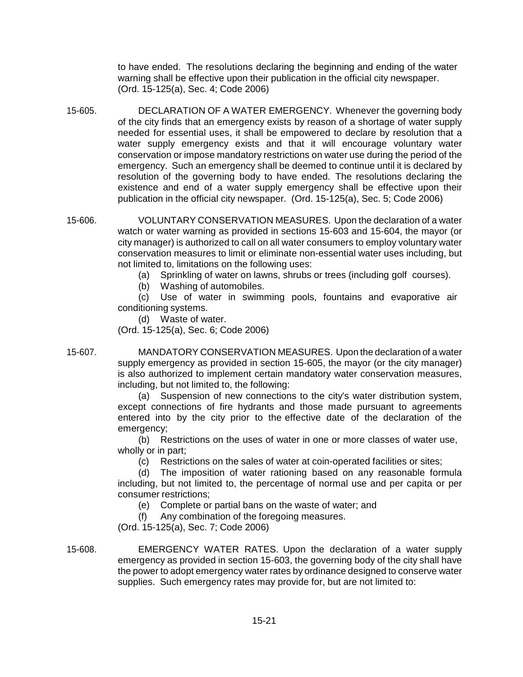to have ended. The resolutions declaring the beginning and ending of the water warning shall be effective upon their publication in the official city newspaper. (Ord. 15-125(a), Sec. 4; Code 2006)

- 15-605. DECLARATION OF A WATER EMERGENCY. Whenever the governing body of the city finds that an emergency exists by reason of a shortage of water supply needed for essential uses, it shall be empowered to declare by resolution that a water supply emergency exists and that it will encourage voluntary water conservation or impose mandatory restrictions on water use during the period of the emergency. Such an emergency shall be deemed to continue until it is declared by resolution of the governing body to have ended. The resolutions declaring the existence and end of a water supply emergency shall be effective upon their publication in the official city newspaper. (Ord. 15-125(a), Sec. 5; Code 2006)
- 15-606. VOLUNTARY CONSERVATION MEASURES. Upon the declaration of a water watch or water warning as provided in sections 15-603 and 15-604, the mayor (or city manager) is authorized to call on all water consumers to employ voluntary water conservation measures to limit or eliminate non-essential water uses including, but not limited to, limitations on the following uses:
	- (a) Sprinkling of water on lawns, shrubs or trees (including golf courses).
	- (b) Washing of automobiles.

(c) Use of water in swimming pools, fountains and evaporative air conditioning systems.

(d) Waste of water.

(Ord. 15-125(a), Sec. 6; Code 2006)

15-607. MANDATORY CONSERVATION MEASURES. Upon the declaration of a water supply emergency as provided in section 15-605, the mayor (or the city manager) is also authorized to implement certain mandatory water conservation measures, including, but not limited to, the following:

> (a) Suspension of new connections to the city's water distribution system, except connections of fire hydrants and those made pursuant to agreements entered into by the city prior to the effective date of the declaration of the emergency;

(b) Restrictions on the uses of water in one or more classes of water use, wholly or in part;

(c) Restrictions on the sales of water at coin-operated facilities or sites;

(d) The imposition of water rationing based on any reasonable formula including, but not limited to, the percentage of normal use and per capita or per consumer restrictions;

- (e) Complete or partial bans on the waste of water; and
- (f) Any combination of the foregoing measures.

(Ord. 15-125(a), Sec. 7; Code 2006)

15-608. EMERGENCY WATER RATES. Upon the declaration of a water supply emergency as provided in section 15-603, the governing body of the city shall have the power to adopt emergency water rates by ordinance designed to conserve water supplies. Such emergency rates may provide for, but are not limited to: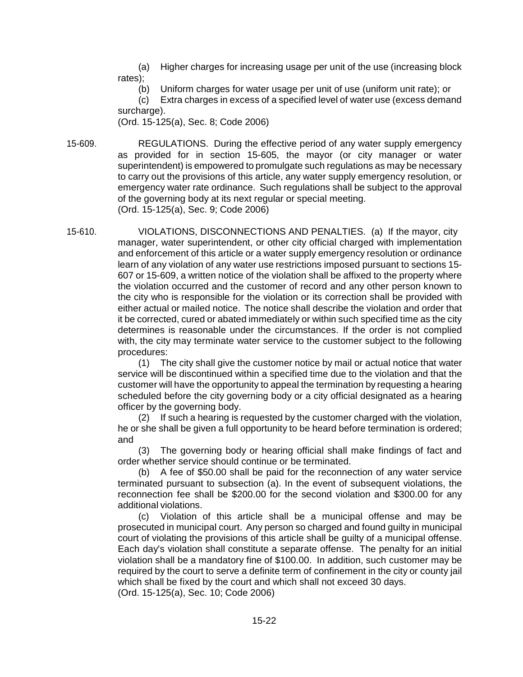(a) Higher charges for increasing usage per unit of the use (increasing block rates);

(b) Uniform charges for water usage per unit of use (uniform unit rate); or

(c) Extra charges in excess of a specified level of water use (excess demand surcharge).

(Ord. 15-125(a), Sec. 8; Code 2006)

15-609. REGULATIONS. During the effective period of any water supply emergency as provided for in section 15-605, the mayor (or city manager or water superintendent) is empowered to promulgate such regulations as may be necessary to carry out the provisions of this article, any water supply emergency resolution, or emergency water rate ordinance. Such regulations shall be subject to the approval of the governing body at its next regular or special meeting. (Ord. 15-125(a), Sec. 9; Code 2006)

15-610. VIOLATIONS, DISCONNECTIONS AND PENALTIES. (a) If the mayor, city manager, water superintendent, or other city official charged with implementation and enforcement of this article or a water supply emergency resolution or ordinance learn of any violation of any water use restrictions imposed pursuant to sections 15- 607 or 15-609, a written notice of the violation shall be affixed to the property where the violation occurred and the customer of record and any other person known to the city who is responsible for the violation or its correction shall be provided with either actual or mailed notice. The notice shall describe the violation and order that it be corrected, cured or abated immediately or within such specified time as the city determines is reasonable under the circumstances. If the order is not complied with, the city may terminate water service to the customer subject to the following procedures:

(1) The city shall give the customer notice by mail or actual notice that water service will be discontinued within a specified time due to the violation and that the customer will have the opportunity to appeal the termination by requesting a hearing scheduled before the city governing body or a city official designated as a hearing officer by the governing body.

(2) If such a hearing is requested by the customer charged with the violation, he or she shall be given a full opportunity to be heard before termination is ordered; and

(3) The governing body or hearing official shall make findings of fact and order whether service should continue or be terminated.

(b) A fee of \$50.00 shall be paid for the reconnection of any water service terminated pursuant to subsection (a). In the event of subsequent violations, the reconnection fee shall be \$200.00 for the second violation and \$300.00 for any additional violations.

(c) Violation of this article shall be a municipal offense and may be prosecuted in municipal court. Any person so charged and found guilty in municipal court of violating the provisions of this article shall be guilty of a municipal offense. Each day's violation shall constitute a separate offense. The penalty for an initial violation shall be a mandatory fine of \$100.00. In addition, such customer may be required by the court to serve a definite term of confinement in the city or county jail which shall be fixed by the court and which shall not exceed 30 days. (Ord. 15-125(a), Sec. 10; Code 2006)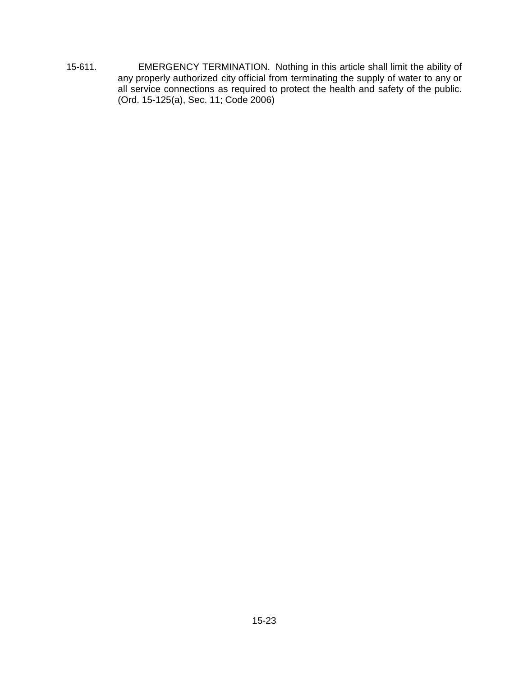15-611. EMERGENCY TERMINATION. Nothing in this article shall limit the ability of any properly authorized city official from terminating the supply of water to any or all service connections as required to protect the health and safety of the public. (Ord. 15-125(a), Sec. 11; Code 2006)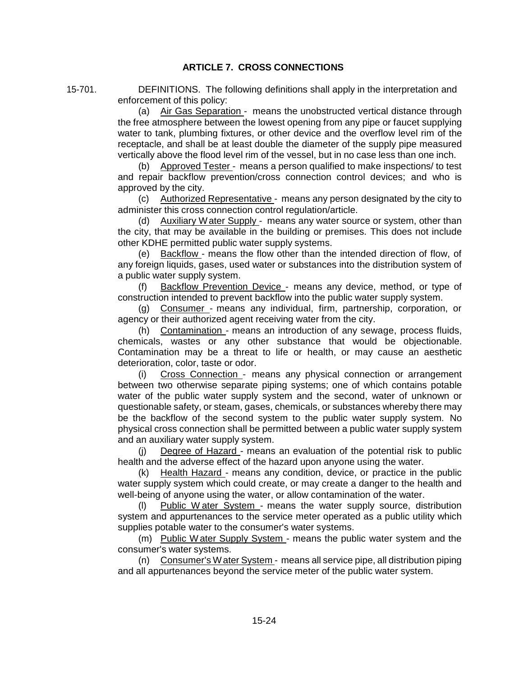# **ARTICLE 7. CROSS CONNECTIONS**

15-701. DEFINITIONS. The following definitions shall apply in the interpretation and enforcement of this policy:

> (a) Air Gas Separation - means the unobstructed vertical distance through the free atmosphere between the lowest opening from any pipe or faucet supplying water to tank, plumbing fixtures, or other device and the overflow level rim of the receptacle, and shall be at least double the diameter of the supply pipe measured vertically above the flood level rim of the vessel, but in no case less than one inch.

> (b) Approved Tester - means a person qualified to make inspections/ to test and repair backflow prevention/cross connection control devices; and who is approved by the city.

> (c) Authorized Representative - means any person designated by the city to administer this cross connection control regulation/article.

> (d) Auxiliary Water Supply - means any water source or system, other than the city, that may be available in the building or premises. This does not include other KDHE permitted public water supply systems.

> (e) Backflow - means the flow other than the intended direction of flow, of any foreign liquids, gases, used water or substances into the distribution system of a public water supply system.

> (f) Backflow Prevention Device - means any device, method, or type of construction intended to prevent backflow into the public water supply system.

> (g) Consumer - means any individual, firm, partnership, corporation, or agency or their authorized agent receiving water from the city.

> (h) Contamination - means an introduction of any sewage, process fluids, chemicals, wastes or any other substance that would be objectionable. Contamination may be a threat to life or health, or may cause an aesthetic deterioration, color, taste or odor.

> (i) Cross Connection - means any physical connection or arrangement between two otherwise separate piping systems; one of which contains potable water of the public water supply system and the second, water of unknown or questionable safety, or steam, gases, chemicals, or substances whereby there may be the backflow of the second system to the public water supply system. No physical cross connection shall be permitted between a public water supply system and an auxiliary water supply system.

> (j) Degree of Hazard - means an evaluation of the potential risk to public health and the adverse effect of the hazard upon anyone using the water.

> (k) Health Hazard - means any condition, device, or practice in the public water supply system which could create, or may create a danger to the health and well-being of anyone using the water, or allow contamination of the water.

> (l) Public W ater System - means the water supply source, distribution system and appurtenances to the service meter operated as a public utility which supplies potable water to the consumer's water systems.

> (m) Public Water Supply System - means the public water system and the consumer's water systems.

> (n) Consumer's Water System - means all service pipe, all distribution piping and all appurtenances beyond the service meter of the public water system.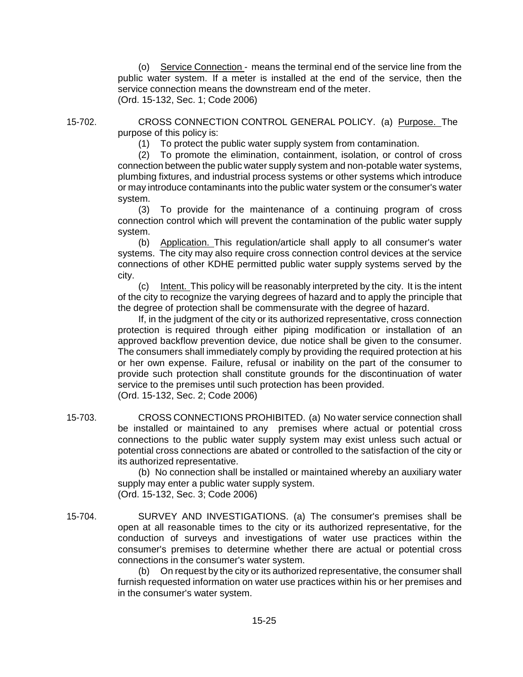(o) Service Connection - means the terminal end of the service line from the public water system. If a meter is installed at the end of the service, then the service connection means the downstream end of the meter. (Ord. 15-132, Sec. 1; Code 2006)

15-702. CROSS CONNECTION CONTROL GENERAL POLICY. (a) Purpose. The purpose of this policy is:

(1) To protect the public water supply system from contamination.

(2) To promote the elimination, containment, isolation, or control of cross connection between the public water supply system and non-potable water systems, plumbing fixtures, and industrial process systems or other systems which introduce or may introduce contaminants into the public water system or the consumer's water system.

(3) To provide for the maintenance of a continuing program of cross connection control which will prevent the contamination of the public water supply system.

(b) Application. This regulation/article shall apply to all consumer's water systems. The city may also require cross connection control devices at the service connections of other KDHE permitted public water supply systems served by the city.

(c) Intent. This policy will be reasonably interpreted by the city. It is the intent of the city to recognize the varying degrees of hazard and to apply the principle that the degree of protection shall be commensurate with the degree of hazard.

If, in the judgment of the city or its authorized representative, cross connection protection is required through either piping modification or installation of an approved backflow prevention device, due notice shall be given to the consumer. The consumers shall immediately comply by providing the required protection at his or her own expense. Failure, refusal or inability on the part of the consumer to provide such protection shall constitute grounds for the discontinuation of water service to the premises until such protection has been provided. (Ord. 15-132, Sec. 2; Code 2006)

15-703. CROSS CONNECTIONS PROHIBITED. (a) No water service connection shall be installed or maintained to any premises where actual or potential cross connections to the public water supply system may exist unless such actual or potential cross connections are abated or controlled to the satisfaction of the city or its authorized representative.

> (b) No connection shall be installed or maintained whereby an auxiliary water supply may enter a public water supply system. (Ord. 15-132, Sec. 3; Code 2006)

15-704. SURVEY AND INVESTIGATIONS. (a) The consumer's premises shall be open at all reasonable times to the city or its authorized representative, for the conduction of surveys and investigations of water use practices within the consumer's premises to determine whether there are actual or potential cross connections in the consumer's water system.

(b) On request by the city or its authorized representative, the consumer shall furnish requested information on water use practices within his or her premises and in the consumer's water system.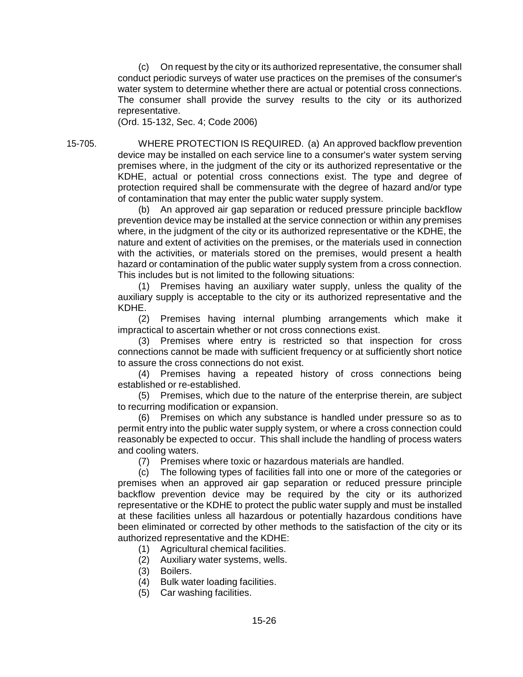(c) On request by the city or its authorized representative, the consumer shall conduct periodic surveys of water use practices on the premises of the consumer's water system to determine whether there are actual or potential cross connections. The consumer shall provide the survey results to the city or its authorized representative.

(Ord. 15-132, Sec. 4; Code 2006)

15-705. WHERE PROTECTION IS REQUIRED. (a) An approved backflow prevention device may be installed on each service line to a consumer's water system serving premises where, in the judgment of the city or its authorized representative or the KDHE, actual or potential cross connections exist. The type and degree of protection required shall be commensurate with the degree of hazard and/or type of contamination that may enter the public water supply system.

(b) An approved air gap separation or reduced pressure principle backflow prevention device may be installed at the service connection or within any premises where, in the judgment of the city or its authorized representative or the KDHE, the nature and extent of activities on the premises, or the materials used in connection with the activities, or materials stored on the premises, would present a health hazard or contamination of the public water supply system from a cross connection. This includes but is not limited to the following situations:

(1) Premises having an auxiliary water supply, unless the quality of the auxiliary supply is acceptable to the city or its authorized representative and the KDHE.

(2) Premises having internal plumbing arrangements which make it impractical to ascertain whether or not cross connections exist.

(3) Premises where entry is restricted so that inspection for cross connections cannot be made with sufficient frequency or at sufficiently short notice to assure the cross connections do not exist.

(4) Premises having a repeated history of cross connections being established or re-established.

(5) Premises, which due to the nature of the enterprise therein, are subject to recurring modification or expansion.

(6) Premises on which any substance is handled under pressure so as to permit entry into the public water supply system, or where a cross connection could reasonably be expected to occur. This shall include the handling of process waters and cooling waters.

(7) Premises where toxic or hazardous materials are handled.

(c) The following types of facilities fall into one or more of the categories or premises when an approved air gap separation or reduced pressure principle backflow prevention device may be required by the city or its authorized representative or the KDHE to protect the public water supply and must be installed at these facilities unless all hazardous or potentially hazardous conditions have been eliminated or corrected by other methods to the satisfaction of the city or its authorized representative and the KDHE:

- (1) Agricultural chemical facilities.
- (2) Auxiliary water systems, wells.
- (3) Boilers.
- (4) Bulk water loading facilities.
- (5) Car washing facilities.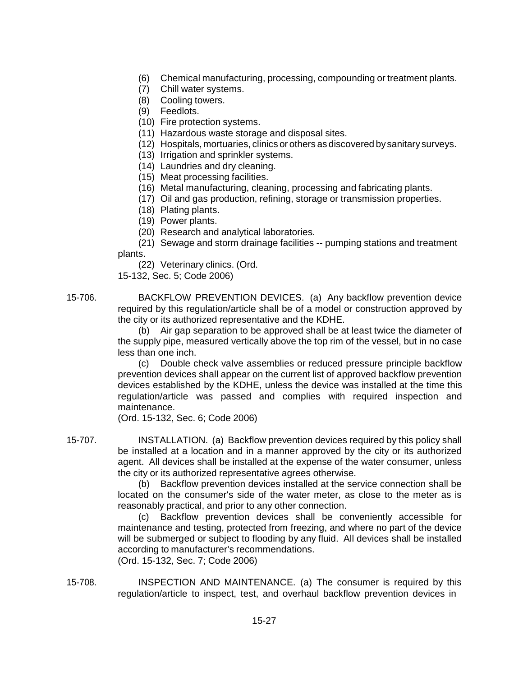- (6) Chemical manufacturing, processing, compounding or treatment plants.
- (7) Chill water systems.
- (8) Cooling towers.
- (9) Feedlots.
- (10) Fire protection systems.
- (11) Hazardous waste storage and disposal sites.
- (12) Hospitals, mortuaries, clinics or others as discovered bysanitary surveys.
- (13) Irrigation and sprinkler systems.
- (14) Laundries and dry cleaning.
- (15) Meat processing facilities.
- (16) Metal manufacturing, cleaning, processing and fabricating plants.
- (17) Oil and gas production, refining, storage or transmission properties.
- (18) Plating plants.
- (19) Power plants.
- (20) Research and analytical laboratories.

(21) Sewage and storm drainage facilities -- pumping stations and treatment plants.

(22) Veterinary clinics. (Ord.

15-132, Sec. 5; Code 2006)

15-706. BACKFLOW PREVENTION DEVICES. (a) Any backflow prevention device required by this regulation/article shall be of a model or construction approved by the city or its authorized representative and the KDHE.

(b) Air gap separation to be approved shall be at least twice the diameter of the supply pipe, measured vertically above the top rim of the vessel, but in no case less than one inch.

(c) Double check valve assemblies or reduced pressure principle backflow prevention devices shall appear on the current list of approved backflow prevention devices established by the KDHE, unless the device was installed at the time this regulation/article was passed and complies with required inspection and maintenance.

(Ord. 15-132, Sec. 6; Code 2006)

15-707. INSTALLATION. (a) Backflow prevention devices required by this policy shall be installed at a location and in a manner approved by the city or its authorized agent. All devices shall be installed at the expense of the water consumer, unless the city or its authorized representative agrees otherwise.

(b) Backflow prevention devices installed at the service connection shall be located on the consumer's side of the water meter, as close to the meter as is reasonably practical, and prior to any other connection.

(c) Backflow prevention devices shall be conveniently accessible for maintenance and testing, protected from freezing, and where no part of the device will be submerged or subject to flooding by any fluid. All devices shall be installed according to manufacturer's recommendations. (Ord. 15-132, Sec. 7; Code 2006)

15-708. INSPECTION AND MAINTENANCE. (a) The consumer is required by this regulation/article to inspect, test, and overhaul backflow prevention devices in